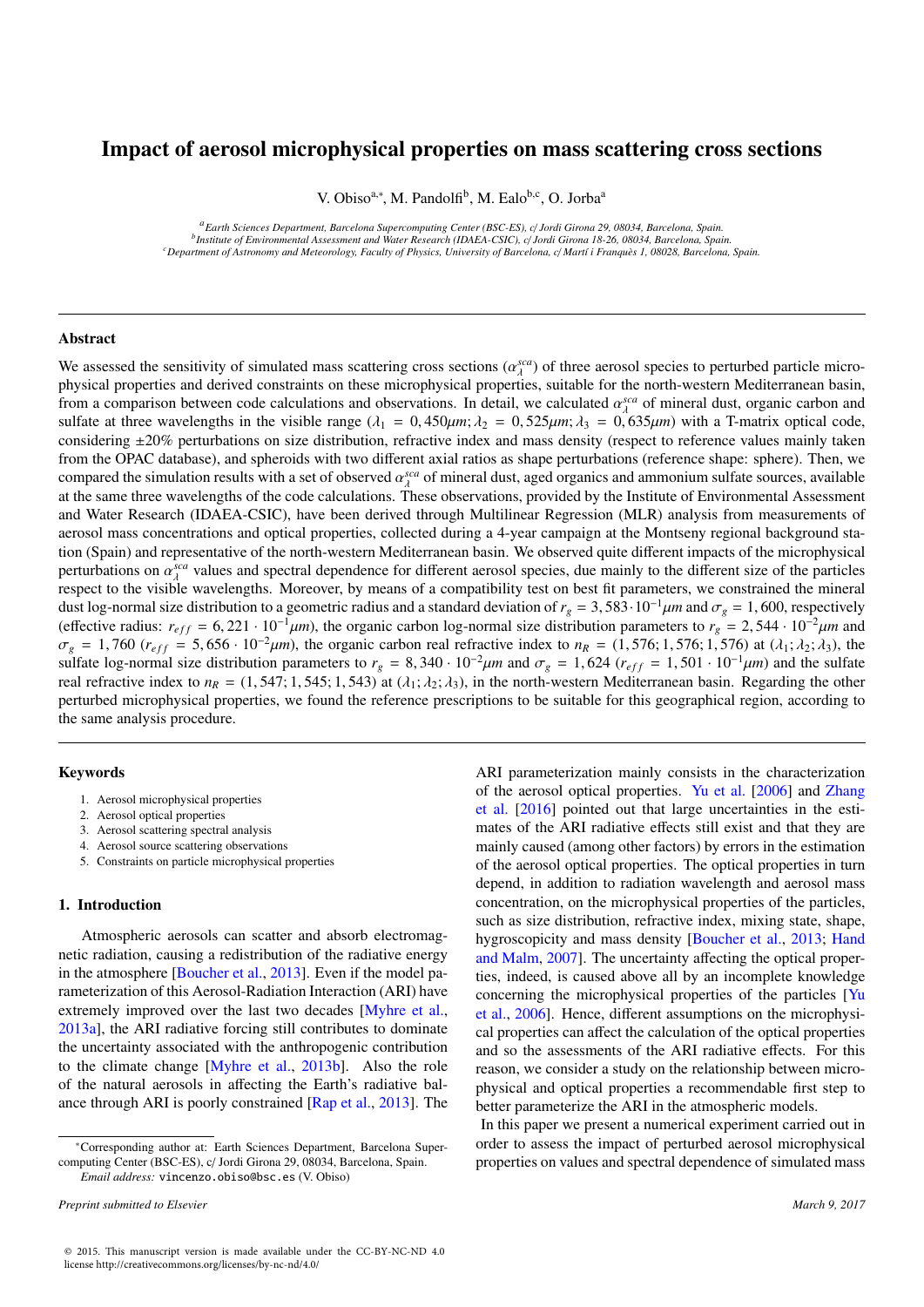# Impact of aerosol microphysical properties on mass scattering cross sections

V. Obiso<sup>a,∗</sup>, M. Pandolfi<sup>b</sup>, M. Ealo<sup>b,c</sup>, O. Jorba<sup>a</sup>

*<sup>a</sup>Earth Sciences Department, Barcelona Supercomputing Center (BSC-ES), c*/ *Jordi Girona 29, 08034, Barcelona, Spain. b Institute of Environmental Assessment and Water Research (IDAEA-CSIC), c*/ *Jordi Girona 18-26, 08034, Barcelona, Spain. <sup>c</sup>Department of Astronomy and Meteorology, Faculty of Physics, University of Barcelona, c*/ *Martí i Franquès 1, 08028, Barcelona, Spain.*

## Abstract

We assessed the sensitivity of simulated mass scattering cross sections  $(a_{\lambda}^{sea})$  of three aerosol species to perturbed particle micro-<br>physical properties and derived constraints on these microphysical properties, suita physical properties and derived constraints on these microphysical properties, suitable for the north-western Mediterranean basin, from a comparison between code calculations and observations. In detail, we calculated  $\alpha_{\lambda}^{sea}$  of mineral dust, organic carbon and  $\alpha_{\lambda}^{sol}$  of  $\alpha_{\lambda}^{sol}$  of  $\alpha_{\lambda}^{sol}$  of  $\alpha_{\lambda}^{sol}$  and  $\alpha_{\lambda}^{sol}$  and  $\alpha_{\lambda}^{sol$ sulfate at three wavelengths in the visible range  $(\lambda_1 = 0.450 \mu m; \lambda_2 = 0.525 \mu m; \lambda_3 = 0.635 \mu m)$  with a T-matrix optical code,<br>considering +20% perturbations on size distribution refractive index and mass density (respec considering ±20% perturbations on size distribution, refractive index and mass density (respect to reference values mainly taken from the OPAC database), and spheroids with two different axial ratios as shape perturbations (reference shape: sphere). Then, we compared the simulation results with a set of observed  $\alpha_A^{sca}$  of mineral dust, aged organics and ammonium sulfate sources, available<br>at the same three wavelengths of the code calculations. These observations, provided at the same three wavelengths of the code calculations. These observations, provided by the Institute of Environmental Assessment and Water Research (IDAEA-CSIC), have been derived through Multilinear Regression (MLR) analysis from measurements of aerosol mass concentrations and optical properties, collected during a 4-year campaign at the Montseny regional background station (Spain) and representative of the north-western Mediterranean basin. We observed quite different impacts of the microphysical perturbations on  $\alpha_{\lambda}^{sca}$  values and spectral dependence for different aerosol species, due mainly to the different size of the particles respect to the visible wavelengths. Moreover, by means of a compatibility test on best fit parameters, we constrained the mineral dust log-normal size distribution to a geometric radius and a standard deviation of  $r_g = 3{,}583 \cdot 10^{-1} \mu m$  and  $\sigma_g = 1{,}600$ , respectively (effective radius:  $r_{eff} = 6{,}221 \cdot 10^{-1} \mu m$ ), the organic carbon log-normal size distribution parameters to  $r_g = 2{,}544 \cdot 10^{-2} \mu m$  and  $\sigma_g = 1,760$  ( $r_{eff} = 5,656 \cdot 10^{-2} \mu m$ ), the organic carbon real refractive index to  $n_R = (1,576; 1,576; 1,576)$  at  $(\lambda_1; \lambda_2; \lambda_3)$ , the sulfate log-normal size distribution parameters to  $r_g = 8,340 \cdot 10^{-2} \mu m$  and  $\sigma_g = 1,624$  ( $r_{eff} = 1,501 \cdot 10^{-1} \mu m$ ) and the sulfate real refractive index to  $n_R = (1, 547; 1, 545; 1, 543)$  at  $(\lambda_1; \lambda_2; \lambda_3)$ , in the north-western Mediterranean basin. Regarding the other perturbed microphysical properties, we found the reference prescriptions to be suitable for this geographical region, according to the same analysis procedure.

# Keywords

- 1. Aerosol microphysical properties
- 2. Aerosol optical properties
- 3. Aerosol scattering spectral analysis
- 4. Aerosol source scattering observations
- 5. Constraints on particle microphysical properties

# 1. Introduction

Atmospheric aerosols can scatter and absorb electromagnetic radiation, causing a redistribution of the radiative energy in the atmosphere [\[Boucher et al.,](#page-8-0) [2013\]](#page-8-0). Even if the model parameterization of this Aerosol-Radiation Interaction (ARI) have extremely improved over the last two decades [\[Myhre et al.,](#page-9-0) [2013a\]](#page-9-0), the ARI radiative forcing still contributes to dominate the uncertainty associated with the anthropogenic contribution to the climate change [\[Myhre et al.,](#page-9-1) [2013b\]](#page-9-1). Also the role of the natural aerosols in affecting the Earth's radiative balance through ARI is poorly constrained [\[Rap et al.,](#page-9-2) [2013\]](#page-9-2). The ARI parameterization mainly consists in the characterization of the aerosol optical properties. [Yu et al.](#page-9-3) [\[2006\]](#page-9-3) and [Zhang](#page-10-0) [et al.](#page-10-0) [\[2016\]](#page-10-0) pointed out that large uncertainties in the estimates of the ARI radiative effects still exist and that they are mainly caused (among other factors) by errors in the estimation of the aerosol optical properties. The optical properties in turn depend, in addition to radiation wavelength and aerosol mass concentration, on the microphysical properties of the particles, such as size distribution, refractive index, mixing state, shape, hygroscopicity and mass density [\[Boucher et al.,](#page-8-0) [2013;](#page-8-0) [Hand](#page-8-1) [and Malm,](#page-8-1) [2007\]](#page-8-1). The uncertainty affecting the optical properties, indeed, is caused above all by an incomplete knowledge concerning the microphysical properties of the particles [\[Yu](#page-9-3) [et al.,](#page-9-3) [2006\]](#page-9-3). Hence, different assumptions on the microphysical properties can affect the calculation of the optical properties and so the assessments of the ARI radiative effects. For this reason, we consider a study on the relationship between microphysical and optical properties a recommendable first step to better parameterize the ARI in the atmospheric models.

In this paper we present a numerical experiment carried out in order to assess the impact of perturbed aerosol microphysical properties on values and spectral dependence of simulated mass

<sup>∗</sup>Corresponding author at: Earth Sciences Department, Barcelona Supercomputing Center (BSC-ES), c/ Jordi Girona 29, 08034, Barcelona, Spain. *Email address:* vincenzo.obiso@bsc.es (V. Obiso)

*Preprint submitted to Elsevier March 9, 2017*

<sup>© 2015.</sup> This manuscript version is made available under the CC-BY-NC-ND 4.0 license http://creativecommons.org/licenses/by-nc-nd/4.0/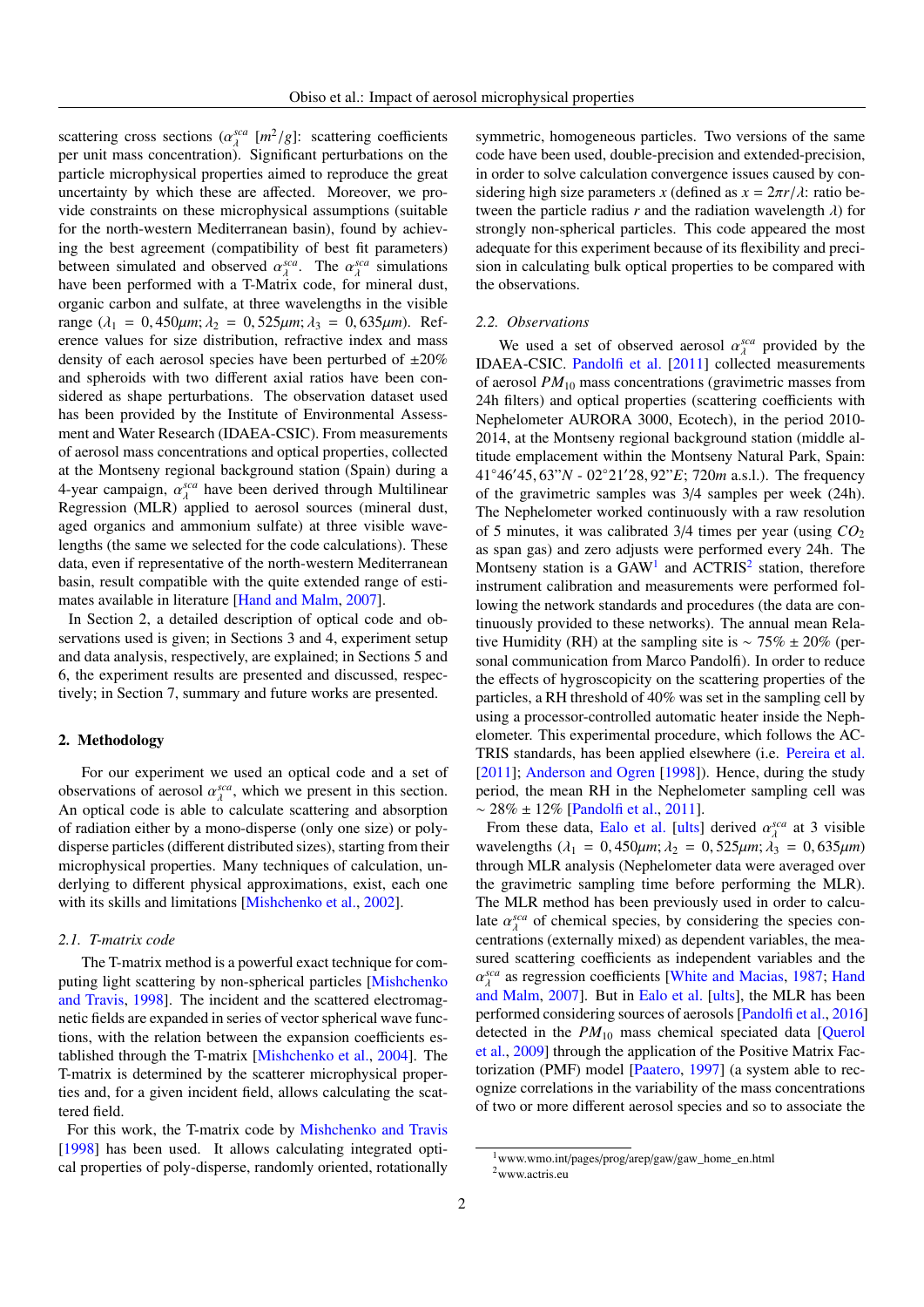scattering cross sections  $(\alpha_{\lambda}^{sca})$ scattering cross sections  $(\alpha_{\lambda}^{sca} [m^2/g]$ : scattering coefficients<br>per unit mass concentration). Significant perturbations on the particle microphysical properties aimed to reproduce the great uncertainty by which these are affected. Moreover, we provide constraints on these microphysical assumptions (suitable for the north-western Mediterranean basin), found by achieving the best agreement (compatibility of best fit parameters) between simulated and observed  $\alpha_{\lambda}^{sca}$ . The  $\alpha_{\lambda}^{sca}$  simulations have been performed with a T-Matrix code, for mineral dust have been performed with a T-Matrix code, for mineral dust, organic carbon and sulfate, at three wavelengths in the visible range ( $\lambda_1 = 0,450 \mu m$ ;  $\lambda_2 = 0,525 \mu m$ ;  $\lambda_3 = 0,635 \mu m$ ). Reference values for size distribution, refractive index and mass density of each aerosol species have been perturbed of  $\pm 20\%$ and spheroids with two different axial ratios have been considered as shape perturbations. The observation dataset used has been provided by the Institute of Environmental Assessment and Water Research (IDAEA-CSIC). From measurements of aerosol mass concentrations and optical properties, collected at the Montseny regional background station (Spain) during a 4-year campaign,  $\alpha_{\lambda}^{sea}$  have been derived through Multilinear<br>Regression (MLR) applied to aerosol sources (mineral dust Regression (MLR) applied to aerosol sources (mineral dust, aged organics and ammonium sulfate) at three visible wavelengths (the same we selected for the code calculations). These data, even if representative of the north-western Mediterranean basin, result compatible with the quite extended range of estimates available in literature [\[Hand and Malm,](#page-8-1) [2007\]](#page-8-1).

In Section 2, a detailed description of optical code and observations used is given; in Sections 3 and 4, experiment setup and data analysis, respectively, are explained; in Sections 5 and 6, the experiment results are presented and discussed, respectively; in Section 7, summary and future works are presented.

# 2. Methodology

For our experiment we used an optical code and a set of observations of aerosol  $\alpha_{\lambda}^{sea}$ , which we present in this section.<br>An optical code is able to calculate scattering and absorption λ An optical code is able to calculate scattering and absorption of radiation either by a mono-disperse (only one size) or polydisperse particles (different distributed sizes), starting from their microphysical properties. Many techniques of calculation, underlying to different physical approximations, exist, each one with its skills and limitations [\[Mishchenko et al.,](#page-9-4) [2002\]](#page-9-4).

#### *2.1. T-matrix code*

The T-matrix method is a powerful exact technique for computing light scattering by non-spherical particles [\[Mishchenko](#page-9-5) [and Travis,](#page-9-5) [1998\]](#page-9-5). The incident and the scattered electromagnetic fields are expanded in series of vector spherical wave functions, with the relation between the expansion coefficients established through the T-matrix [\[Mishchenko et al.,](#page-9-6) [2004\]](#page-9-6). The T-matrix is determined by the scatterer microphysical properties and, for a given incident field, allows calculating the scattered field.

For this work, the T-matrix code by [Mishchenko and Travis](#page-9-5) [\[1998\]](#page-9-5) has been used. It allows calculating integrated optical properties of poly-disperse, randomly oriented, rotationally

symmetric, homogeneous particles. Two versions of the same code have been used, double-precision and extended-precision, in order to solve calculation convergence issues caused by considering high size parameters *x* (defined as  $x = 2\pi r/\lambda$ : ratio between the particle radius  $r$  and the radiation wavelength  $\lambda$ ) for strongly non-spherical particles. This code appeared the most adequate for this experiment because of its flexibility and precision in calculating bulk optical properties to be compared with the observations.

#### *2.2. Observations*

We used a set of observed aerosol  $\alpha_A^{sca}$  provided by the *BA\_CSIC* Pandolfi et al. [2011] collected measurements IDAEA-CSIC. [Pandolfi et al.](#page-9-7) [\[2011\]](#page-9-7) collected measurements of aerosol *PM*<sup>10</sup> mass concentrations (gravimetric masses from 24h filters) and optical properties (scattering coefficients with Nephelometer AURORA 3000, Ecotech), in the period 2010- 2014, at the Montseny regional background station (middle altitude emplacement within the Montseny Natural Park, Spain: 41°46′45, 63"*N* - 02°21′28, 92"*E*; 720*m* a.s.l.). The frequency of the gravimetric samples was 3/4 samples per week (24h). The Nephelometer worked continuously with a raw resolution of 5 minutes, it was calibrated 3/4 times per year (using *CO*<sup>2</sup> as span gas) and zero adjusts were performed every 24h. The Montseny station is a  $GAW<sup>1</sup>$  $GAW<sup>1</sup>$  $GAW<sup>1</sup>$  and  $ACTRIS<sup>2</sup>$  $ACTRIS<sup>2</sup>$  $ACTRIS<sup>2</sup>$  station, therefore instrument calibration and measurements were performed following the network standards and procedures (the data are continuously provided to these networks). The annual mean Relative Humidity (RH) at the sampling site is ~  $75\% \pm 20\%$  (personal communication from Marco Pandolfi). In order to reduce the effects of hygroscopicity on the scattering properties of the particles, a RH threshold of 40% was set in the sampling cell by using a processor-controlled automatic heater inside the Nephelometer. This experimental procedure, which follows the AC-TRIS standards, has been applied elsewhere (i.e. [Pereira et al.](#page-9-8) [\[2011\]](#page-9-8); [Anderson and Ogren](#page-8-2) [\[1998\]](#page-8-2)). Hence, during the study period, the mean RH in the Nephelometer sampling cell was ∼ 28% ± 12% [\[Pandolfi et al.,](#page-9-7) [2011\]](#page-9-7).

From these data, [Ealo et al.](#page-8-3) [\[ults\]](#page-8-3) derived  $\alpha_{\lambda}^{sca}$  at 3 visible<br>avelengths  $(\lambda_{\lambda} = 0.450 \mu m) \lambda_{\lambda} = 0.535 \mu m$ <br> $\lambda_{\lambda} = 0.635 \mu m$ wavelengths  $(\lambda_1 = 0, 450 \mu m; \lambda_2 = 0, 525 \mu m; \lambda_3 = 0, 635 \mu m)$ <br>through MLR analysis (Nephelometer data were averaged over through MLR analysis (Nephelometer data were averaged over the gravimetric sampling time before performing the MLR). The MLR method has been previously used in order to calculate  $\alpha_{\lambda}^{sea}$  of chemical species, by considering the species con-<br>centrations (externally mixed) as dependent variables, the meacentrations (externally mixed) as dependent variables, the measured scattering coefficients as independent variables and the [and Malm,](#page-8-1) [2007\]](#page-8-1). But in [Ealo et al.](#page-8-3) [\[ults\]](#page-8-3), the MLR has been *sca* as regression coefficients [\[White and Macias,](#page-9-9) [1987;](#page-9-9) [Hand](#page-8-1) performed considering sources of aerosols [\[Pandolfi et al.,](#page-9-10) [2016\]](#page-9-10) detected in the  $PM_{10}$  mass chemical speciated data [\[Querol](#page-9-11)] [et al.,](#page-9-11) [2009\]](#page-9-11) through the application of the Positive Matrix Factorization (PMF) model [\[Paatero,](#page-9-12) [1997\]](#page-9-12) (a system able to recognize correlations in the variability of the mass concentrations of two or more different aerosol species and so to associate the

<span id="page-1-1"></span><span id="page-1-0"></span><sup>1</sup>www.wmo.int/pages/prog/arep/gaw/gaw\_home\_en.html  $2$ www.actris.eu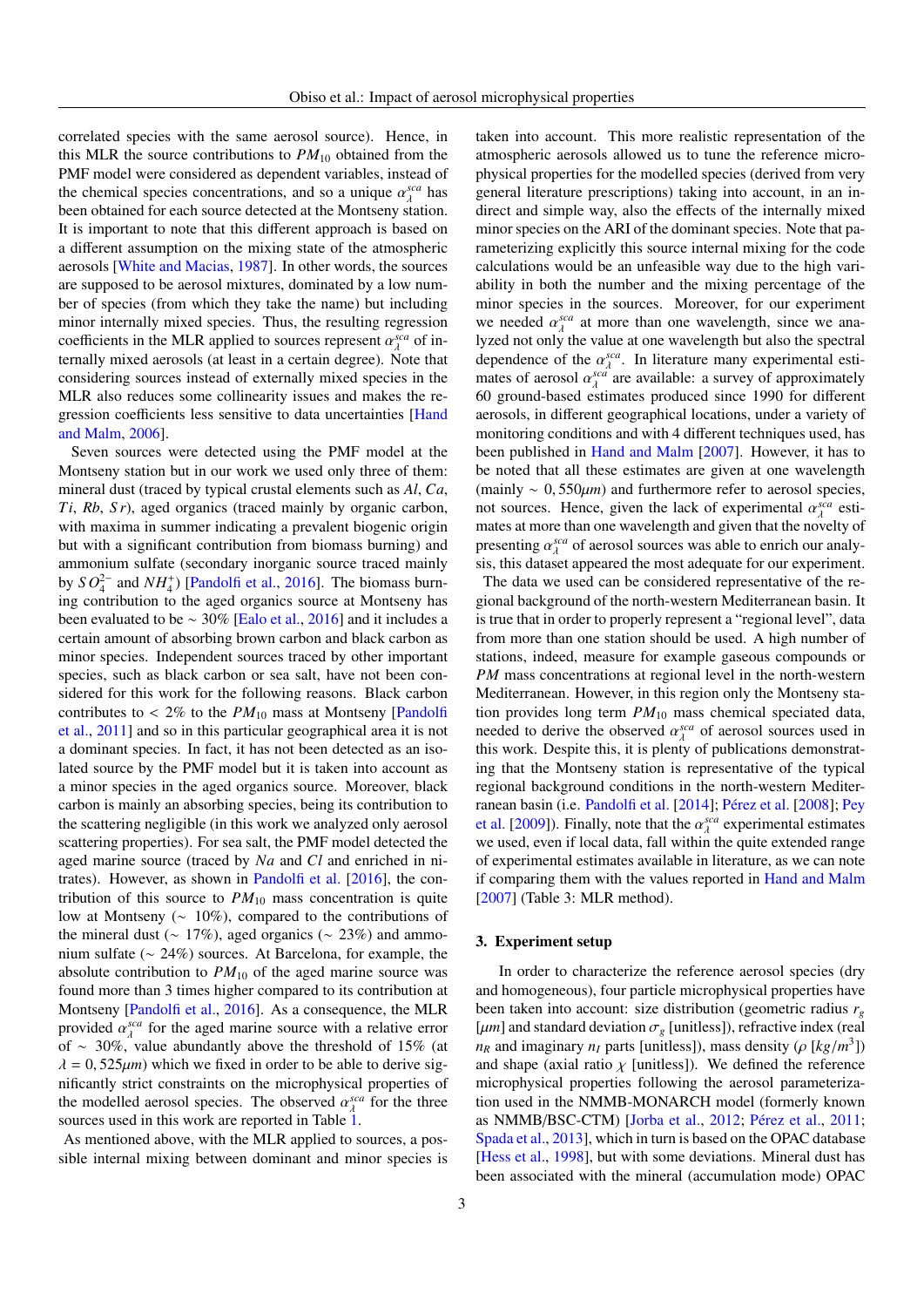correlated species with the same aerosol source). Hence, in this MLR the source contributions to  $PM_{10}$  obtained from the PMF model were considered as dependent variables, instead of the chemical species concentrations, and so a unique  $\alpha_{\lambda}^{sca}$  has<br>heen obtained for each source detected at the Montseny station been obtained for each source detected at the Montseny station. It is important to note that this different approach is based on a different assumption on the mixing state of the atmospheric aerosols [\[White and Macias,](#page-9-9) [1987\]](#page-9-9). In other words, the sources are supposed to be aerosol mixtures, dominated by a low number of species (from which they take the name) but including minor internally mixed species. Thus, the resulting regression coefficients in the MLR applied to sources represent  $\alpha_{\lambda}^{sca}$  of in-<br>ternally mixed aerosols (at least in a certain degree). Note that ternally mixed aerosols (at least in a certain degree). Note that considering sources instead of externally mixed species in the MLR also reduces some collinearity issues and makes the regression coefficients less sensitive to data uncertainties [\[Hand](#page-8-4) [and Malm,](#page-8-4) [2006\]](#page-8-4).

Seven sources were detected using the PMF model at the Montseny station but in our work we used only three of them: mineral dust (traced by typical crustal elements such as *Al*, *Ca*, *Ti*, *Rb*, *S r*), aged organics (traced mainly by organic carbon, with maxima in summer indicating a prevalent biogenic origin but with a significant contribution from biomass burning) and ammonium sulfate (secondary inorganic source traced mainly by  $SO_4^{2-}$  and  $NH_4^+$ ) [\[Pandolfi et al.,](#page-9-10) [2016\]](#page-9-10). The biomass burning contribution to the aged organics source at Montseny has been evaluated to be ∼ 30% [\[Ealo et al.,](#page-8-5) [2016\]](#page-8-5) and it includes a certain amount of absorbing brown carbon and black carbon as minor species. Independent sources traced by other important species, such as black carbon or sea salt, have not been considered for this work for the following reasons. Black carbon contributes to  $< 2\%$  to the  $PM_{10}$  mass at Montseny [\[Pandolfi](#page-9-7) [et al.,](#page-9-7) [2011\]](#page-9-7) and so in this particular geographical area it is not a dominant species. In fact, it has not been detected as an isolated source by the PMF model but it is taken into account as a minor species in the aged organics source. Moreover, black carbon is mainly an absorbing species, being its contribution to the scattering negligible (in this work we analyzed only aerosol scattering properties). For sea salt, the PMF model detected the aged marine source (traced by *Na* and *Cl* and enriched in nitrates). However, as shown in [Pandolfi et al.](#page-9-10) [\[2016\]](#page-9-10), the contribution of this source to  $PM_{10}$  mass concentration is quite low at Montseny (∼ 10%), compared to the contributions of the mineral dust ( $\sim 17\%$ ), aged organics ( $\sim 23\%$ ) and ammonium sulfate (∼ 24%) sources. At Barcelona, for example, the absolute contribution to  $PM_{10}$  of the aged marine source was found more than 3 times higher compared to its contribution at Montseny [\[Pandolfi et al.,](#page-9-10) [2016\]](#page-9-10). As a consequence, the MLR provided  $\alpha_{\lambda}^{sca}$  for the aged marine source with a relative error<br>of  $\approx 30\%$  value abundantly above the threshold of 15% (at of ∼ 30%, value abundantly above the threshold of 15% (at  $\lambda = 0.525 \mu m$ ) which we fixed in order to be able to derive significantly strict constraints on the microphysical properties of the modelled aerosol species. The observed  $\alpha_{\lambda}^{sea}$  for the three sources used in this work are reported in Table 1 sources used in this work are reported in Table [1.](#page-11-0)

As mentioned above, with the MLR applied to sources, a possible internal mixing between dominant and minor species is taken into account. This more realistic representation of the atmospheric aerosols allowed us to tune the reference microphysical properties for the modelled species (derived from very general literature prescriptions) taking into account, in an indirect and simple way, also the effects of the internally mixed minor species on the ARI of the dominant species. Note that parameterizing explicitly this source internal mixing for the code calculations would be an unfeasible way due to the high variability in both the number and the mixing percentage of the minor species in the sources. Moreover, for our experiment we needed  $\alpha_{\lambda}^{sca}$  at more than one wavelength, since we ana-<br>lyzed not only the value at one wavelength but also the spectral lyzed not only the value at one wavelength but also the spectral dependence of the  $\alpha_A^{sca}$ . In literature many experimental esti-<br>mates of aerosol  $\alpha_A^{sca}$  are available: a survey of approximately mates of aerosol  $\alpha_A^{scat}$  are available: a survey of approximately<br>60 ground-based estimates produced since 1990 for different 60 ground-based estimates produced since 1990 for different aerosols, in different geographical locations, under a variety of monitoring conditions and with 4 different techniques used, has been published in [Hand and Malm](#page-8-1) [\[2007\]](#page-8-1). However, it has to be noted that all these estimates are given at one wavelength (mainly <sup>∼</sup> <sup>0</sup>, <sup>550</sup>µ*m*) and furthermore refer to aerosol species, not sources. Hence, given the lack of experimental  $\alpha_{\lambda}^{sca}$  esti-<br>mates at more than one wavelength and given that the novelty of mates at more than one wavelength and given that the novelty of presenting  $\alpha_{\lambda}^{sea}$  of aerosol sources was able to enrich our analy-<br>signification appeared the most adequate for our experiment sis, this dataset appeared the most adequate for our experiment.

The data we used can be considered representative of the regional background of the north-western Mediterranean basin. It is true that in order to properly represent a "regional level", data from more than one station should be used. A high number of stations, indeed, measure for example gaseous compounds or *PM* mass concentrations at regional level in the north-western Mediterranean. However, in this region only the Montseny station provides long term *PM*<sup>10</sup> mass chemical speciated data, needed to derive the observed  $\alpha_{\lambda}^{sea}$  of aerosol sources used in this work. Despite this it is plenty of publications demonstrated this work. Despite this, it is plenty of publications demonstrating that the Montseny station is representative of the typical regional background conditions in the north-western Mediterranean basin (i.e. [Pandolfi et al.](#page-9-13) [\[2014\]](#page-9-13); [Pérez et al.](#page-9-14) [\[2008\]](#page-9-14); [Pey](#page-9-15) [et al.](#page-9-15) [\[2009\]](#page-9-15)). Finally, note that the  $\alpha_{\lambda}^{sca}$  experimental estimates<br>we used even if local data fall within the quite extended range we used, even if local data, fall within the quite extended range of experimental estimates available in literature, as we can note if comparing them with the values reported in [Hand and Malm](#page-8-1) [\[2007\]](#page-8-1) (Table 3: MLR method).

## 3. Experiment setup

In order to characterize the reference aerosol species (dry and homogeneous), four particle microphysical properties have been taken into account: size distribution (geometric radius *r<sup>g</sup>* [ $\mu$ *m*] and standard deviation  $\sigma_g$  [unitless]), refractive index (real *n<sub>R</sub>* and imaginary *n<sub>I</sub>* parts [unitless]), mass density ( $\rho$  [*kg*/*m*<sup>3</sup>]) and shape (avial ratio  $\nu$  [unitless]). We defined the reference and shape (axial ratio  $\chi$  [unitless]). We defined the reference microphysical properties following the aerosol parameterization used in the NMMB-MONARCH model (formerly known as NMMB/BSC-CTM) [\[Jorba et al.,](#page-9-16) [2012;](#page-9-16) [Pérez et al.,](#page-9-17) [2011;](#page-9-17) [Spada et al.,](#page-9-18) [2013\]](#page-9-18), which in turn is based on the OPAC database [\[Hess et al.,](#page-9-19) [1998\]](#page-9-19), but with some deviations. Mineral dust has been associated with the mineral (accumulation mode) OPAC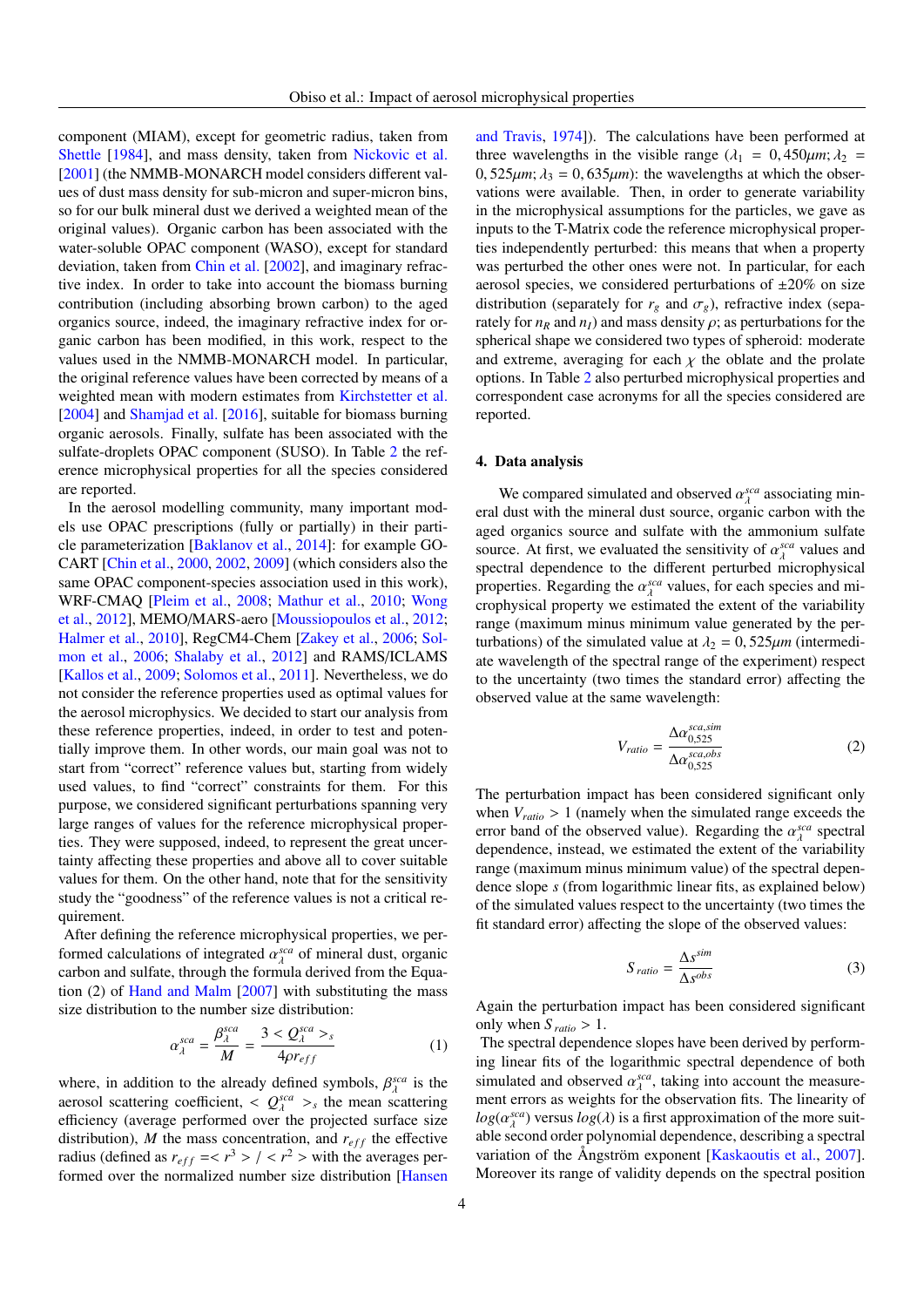component (MIAM), except for geometric radius, taken from [Shettle](#page-9-20) [\[1984\]](#page-9-20), and mass density, taken from [Nickovic et al.](#page-9-21) [\[2001\]](#page-9-21) (the NMMB-MONARCH model considers different values of dust mass density for sub-micron and super-micron bins, so for our bulk mineral dust we derived a weighted mean of the original values). Organic carbon has been associated with the water-soluble OPAC component (WASO), except for standard deviation, taken from [Chin et al.](#page-8-6) [\[2002\]](#page-8-6), and imaginary refractive index. In order to take into account the biomass burning contribution (including absorbing brown carbon) to the aged organics source, indeed, the imaginary refractive index for organic carbon has been modified, in this work, respect to the values used in the NMMB-MONARCH model. In particular, the original reference values have been corrected by means of a weighted mean with modern estimates from [Kirchstetter et al.](#page-9-22) [\[2004\]](#page-9-22) and [Shamjad et al.](#page-9-23) [\[2016\]](#page-9-23), suitable for biomass burning organic aerosols. Finally, sulfate has been associated with the sulfate-droplets OPAC component (SUSO). In Table [2](#page-12-0) the reference microphysical properties for all the species considered are reported.

In the aerosol modelling community, many important models use OPAC prescriptions (fully or partially) in their particle parameterization [\[Baklanov et al.,](#page-8-7) [2014\]](#page-8-7): for example GO-CART [\[Chin et al.,](#page-8-8) [2000,](#page-8-8) [2002,](#page-8-6) [2009\]](#page-8-9) (which considers also the same OPAC component-species association used in this work), WRF-CMAQ [\[Pleim et al.,](#page-9-24) [2008;](#page-9-24) [Mathur et al.,](#page-9-25) [2010;](#page-9-25) [Wong](#page-9-26) [et al.,](#page-9-26) [2012\]](#page-9-26), MEMO/MARS-aero [\[Moussiopoulos et al.,](#page-9-27) [2012;](#page-9-27) [Halmer et al.,](#page-8-10) [2010\]](#page-8-10), RegCM4-Chem [\[Zakey et al.,](#page-9-28) [2006;](#page-9-28) [Sol](#page-9-29)[mon et al.,](#page-9-29) [2006;](#page-9-29) [Shalaby et al.,](#page-9-30) [2012\]](#page-9-30) and RAMS/ICLAMS [\[Kallos et al.,](#page-9-31) [2009;](#page-9-31) [Solomos et al.,](#page-9-32) [2011\]](#page-9-32). Nevertheless, we do not consider the reference properties used as optimal values for the aerosol microphysics. We decided to start our analysis from these reference properties, indeed, in order to test and potentially improve them. In other words, our main goal was not to start from "correct" reference values but, starting from widely used values, to find "correct" constraints for them. For this purpose, we considered significant perturbations spanning very large ranges of values for the reference microphysical properties. They were supposed, indeed, to represent the great uncertainty affecting these properties and above all to cover suitable values for them. On the other hand, note that for the sensitivity study the "goodness" of the reference values is not a critical requirement.

After defining the reference microphysical properties, we performed calculations of integrated  $\alpha_{\lambda}^{sca}$  of mineral dust, organic carbon and sulfate through the formula derived from the Fouacarbon and sulfate, through the formula derived from the Equation (2) of [Hand and Malm](#page-8-1) [\[2007\]](#page-8-1) with substituting the mass size distribution to the number size distribution:

$$
\alpha_{\lambda}^{sca} = \frac{\beta_{\lambda}^{sca}}{M} = \frac{3 < Q_{\lambda}^{sca} >_{s}}{4\rho r_{eff}}\tag{1}
$$

where, in addition to the already defined symbols,  $\beta_{\lambda}^{sca}$  is the are settlering coefficient  $\epsilon$   $\beta_{\lambda}^{sca}$  is the mean settlering aerosol scattering coefficient,  $\langle Q_{\text{sc}}^{\text{sca}} \rangle_s$  the mean scattering<br>efficiency (average performed over the projected surface size efficiency (average performed over the projected surface size distribution),  $M$  the mass concentration, and  $r_{eff}$  the effective radius (defined as  $r_{eff} = \langle r^3 \rangle / \langle r^2 \rangle$  with the averages per-<br>formed over the normalized number size distribution [Hansen] formed over the normalized number size distribution [\[Hansen](#page-9-33)

[and Travis,](#page-9-33) [1974\]](#page-9-33)). The calculations have been performed at three wavelengths in the visible range ( $\lambda_1 = 0,450 \mu m$ ;  $\lambda_2 =$  $0, 525 \mu m$ ;  $\lambda_3 = 0, 635 \mu m$ ): the wavelengths at which the observations were available. Then, in order to generate variability in the microphysical assumptions for the particles, we gave as inputs to the T-Matrix code the reference microphysical properties independently perturbed: this means that when a property was perturbed the other ones were not. In particular, for each aerosol species, we considered perturbations of  $\pm 20\%$  on size distribution (separately for  $r_g$  and  $\sigma_g$ ), refractive index (separately for  $n_R$  and  $n_I$ ) and mass density  $\rho$ ; as perturbations for the spherical shape we considered two types of spheroid: moderate and extreme, averaging for each  $\chi$  the oblate and the prolate options. In Table [2](#page-12-0) also perturbed microphysical properties and correspondent case acronyms for all the species considered are reported.

# 4. Data analysis

We compared simulated and observed  $\alpha_{\lambda}^{sca}$  associating min-<br>dust with the mineral dust source, organic carbon with the eral dust with the mineral dust source, organic carbon with the aged organics source and sulfate with the ammonium sulfate source. At first, we evaluated the sensitivity of  $\alpha_{\lambda}^{sea}$  values and spectral dependence to the different perturbed microphysical spectral dependence to the different perturbed microphysical properties. Regarding the  $\alpha_{\lambda}^{sea}$  values, for each species and mi-<br>crophysical property we estimated the extent of the variability crophysical property we estimated the extent of the variability range (maximum minus minimum value generated by the perturbations) of the simulated value at  $\lambda_2 = 0,525 \mu m$  (intermediate wavelength of the spectral range of the experiment) respect to the uncertainty (two times the standard error) affecting the observed value at the same wavelength:

$$
V_{ratio} = \frac{\Delta \alpha_{0,525}^{sca,sim}}{\Delta \alpha_{0,525}^{sca,obs}}
$$
 (2)

The perturbation impact has been considered significant only when  $V_{ratio} > 1$  (namely when the simulated range exceeds the error band of the observed value). Regarding the  $\alpha_A^{sca}$  spectral<br>dependence instead, we estimated the extent of the variability dependence, instead, we estimated the extent of the variability range (maximum minus minimum value) of the spectral dependence slope *s* (from logarithmic linear fits, as explained below) of the simulated values respect to the uncertainty (two times the fit standard error) affecting the slope of the observed values:

$$
S_{ratio} = \frac{\Delta s^{sim}}{\Delta s^{obs}}
$$
 (3)

Again the perturbation impact has been considered significant only when  $S_{\text{ratio}} > 1$ .

The spectral dependence slopes have been derived by performing linear fits of the logarithmic spectral dependence of both simulated and observed  $\alpha_{\lambda}^{sea}$ , taking into account the measure-<br>ment errors as weights for the observation fits. The linearity of ment errors as weights for the observation fits. The linearity of  $log(\alpha)$ <sup>sca</sup>) versus  $log(\lambda)$  is a first approximation of the more suit-<br>able second order polynomial dependence, describing a spectral able second order polynomial dependence, describing a spectral variation of the Ångström exponent [\[Kaskaoutis et al.,](#page-9-34) [2007\]](#page-9-34). Moreover its range of validity depends on the spectral position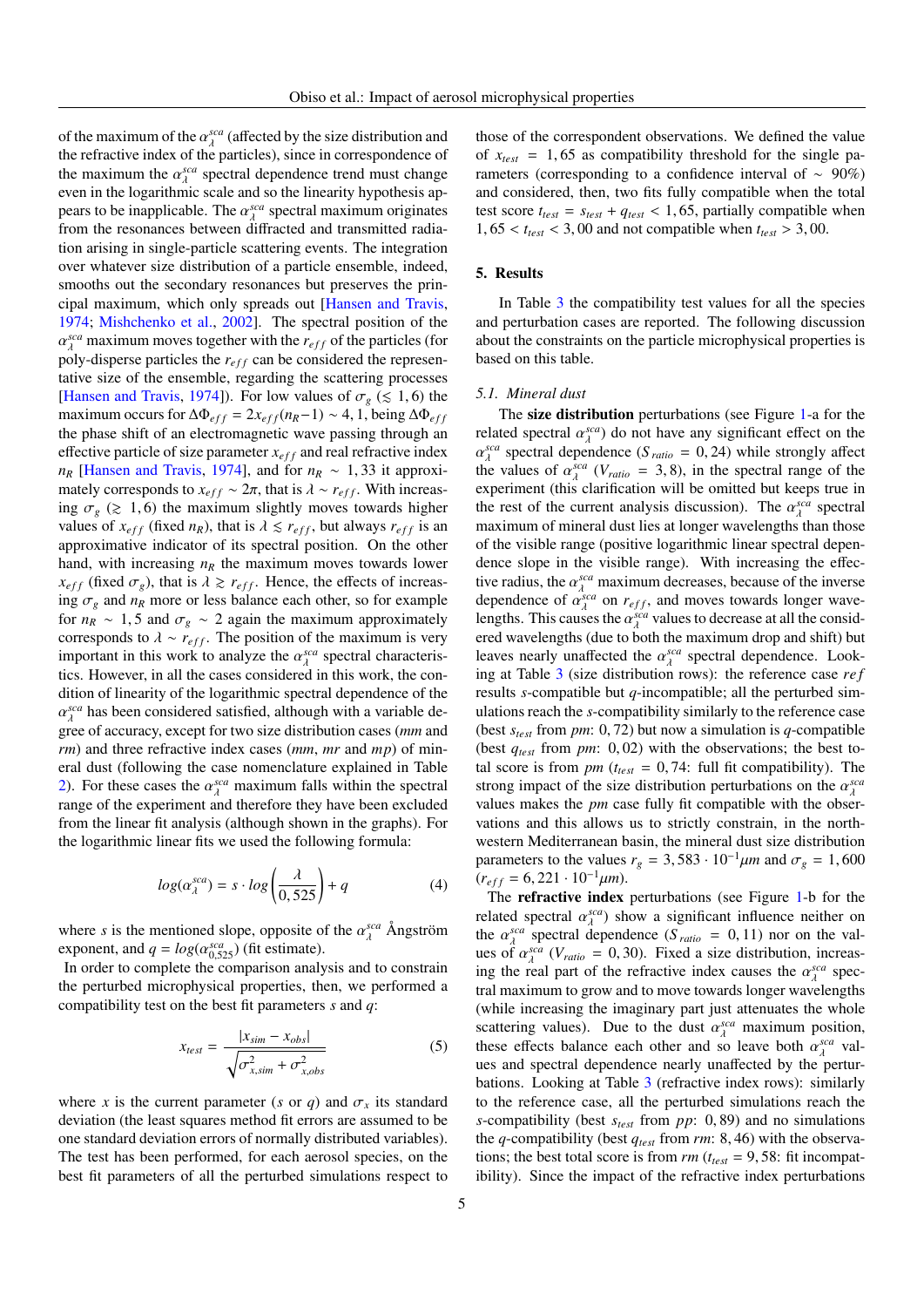of the maximum of the  $\alpha_A^{sca}$  (affected by the size distribution and the refractive index of the particles) since in correspondence of the refractive index of the particles), since in correspondence of the maximum the  $\alpha_{\lambda}^{sea}$  spectral dependence trend must change<br>even in the logarithmic scale and so the linearity hypothesis and even in the logarithmic scale and so the linearity hypothesis appears to be inapplicable. The  $\alpha_{\lambda}^{sca}$  spectral maximum originates from the resonances between diffracted and transmitted radiafrom the resonances between diffracted and transmitted radiation arising in single-particle scattering events. The integration over whatever size distribution of a particle ensemble, indeed, smooths out the secondary resonances but preserves the principal maximum, which only spreads out [\[Hansen and Travis,](#page-9-33) [1974;](#page-9-33) [Mishchenko et al.,](#page-9-4) [2002\]](#page-9-4). The spectral position of the  $p$ <sup>1</sup>  $\alpha$ <sup>1</sup>  $\alpha$ <sup>1</sup>  $\alpha$ <sup>1</sup>  $\alpha$ <sup>1</sup>  $\alpha$ <sup>1</sup>  $\alpha$ <sup>1</sup>  $\alpha$ <sup>1</sup>  $\alpha$ <sup>1</sup>  $\alpha$ <sup>1</sup>  $\alpha$ <sup>1</sup>  $\alpha$ <sup>1</sup> $\alpha$ <sup>1</sup> $\alpha$ <sup>1</sup> $\alpha$ <sup>1</sup> $\alpha$ <sup>1</sup> $\alpha$ <sup>1</sup> $\alpha$ <sup>1</sup> $\alpha$ <sup>1</sup> $\alpha$ <sup>1</sup> $\alpha$ <sup>1</sup> $\alpha$ <sup>1</sup> $\alpha$ <sup>1</sup> $\alpha$ <sup>1</sup> $\alpha$ <sup>1</sup> $\alpha$ <sup>1</sup> $\alpha$ <sup>1</sup> $\alpha$ <sup>1</sup> $\alpha$ <sup>1</sup> $\alpha$ <sup>1</sup>*sca* maximum moves together with the  $r_{eff}$  of the particles (for  $\alpha$ )  $\alpha$ -disperse particles the *r*  $\alpha$  can be considered the representative size of the ensemble, regarding the scattering processes [\[Hansen and Travis,](#page-9-33) [1974\]](#page-9-33)). For low values of  $\sigma_g$  ( $\leq 1, 6$ ) the maximum occurs for  $\Delta \Phi_{eff} = 2x_{eff}(n_R-1) \sim 4$ , 1, being  $\Delta \Phi_{eff}$ the phase shift of an electromagnetic wave passing through an effective particle of size parameter  $x_{eff}$  and real refractive index *n<sub>R</sub>* [\[Hansen and Travis,](#page-9-33) [1974\]](#page-9-33), and for  $n_R \sim 1,33$  it approximately corresponds to  $x_{eff} \sim 2\pi$ , that is  $\lambda \sim r_{eff}$ . With increasing  $\sigma_g$  ( $\geq$  1,6) the maximum slightly moves towards higher values of  $x_{eff}$  (fixed  $n_R$ ), that is  $\lambda \leq r_{eff}$ , but always  $r_{eff}$  is an approximative indicator of its spectral position. On the other hand, with increasing  $n_R$  the maximum moves towards lower  $x_{eff}$  (fixed  $\sigma_g$ ), that is  $\lambda \geq r_{eff}$ . Hence, the effects of increasing  $\sigma_g$  and  $n_R$  more or less balance each other, so for example for  $n_R \sim 1, 5$  and  $\sigma_g \sim 2$  again the maximum approximately corresponds to  $\lambda \sim r_{eff}$ . The position of the maximum is very important in this work to analyze the  $\alpha_{\lambda}^{sca}$  spectral characteristics. However, in all the cases considered in this work, the contics. However, in all the cases considered in this work, the condition of linearity of the logarithmic spectral dependence of the α λ gree of accuracy, except for two size distribution cases (*mm* and *sca* has been considered satisfied, although with a variable de*rm*) and three refractive index cases (*mm*, *mr* and *mp*) of mineral dust (following the case nomenclature explained in Table [2\)](#page-12-0). For these cases the  $\alpha_{\lambda}^{sea}$  maximum falls within the spectral range of the experiment and therefore they have been excluded range of the experiment and therefore they have been excluded from the linear fit analysis (although shown in the graphs). For the logarithmic linear fits we used the following formula:

$$
log(\alpha_{\lambda}^{sca}) = s \cdot log\left(\frac{\lambda}{0,525}\right) + q \tag{4}
$$

where *s* is the mentioned slope, opposite of the  $\alpha_{\lambda}^{sea}$  Ångström exponent and  $a = \log(\alpha^{sea})$  (fit estimate) exponent, and  $q = log(\alpha_{0.525}^{sea})$  (fit estimate).<br>In order to complete the comparison analy

In order to complete the comparison analysis and to constrain the perturbed microphysical properties, then, we performed a compatibility test on the best fit parameters *s* and *q*:

$$
x_{test} = \frac{|x_{sim} - x_{obs}|}{\sqrt{\sigma_{x,sim}^2 + \sigma_{x,obs}^2}}
$$
 (5)

where *x* is the current parameter (*s* or *q*) and  $\sigma_x$  its standard deviation (the least squares method fit errors are assumed to be one standard deviation errors of normally distributed variables). The test has been performed, for each aerosol species, on the best fit parameters of all the perturbed simulations respect to those of the correspondent observations. We defined the value of  $x_{test} = 1,65$  as compatibility threshold for the single parameters (corresponding to a confidence interval of ∼ 90%) and considered, then, two fits fully compatible when the total test score  $t_{test} = s_{test} + q_{test} < 1,65$ , partially compatible when  $1,65 < t_{test} < 3,00$  and not compatible when  $t_{test} > 3,00$ .

# 5. Results

In Table [3](#page-13-0) the compatibility test values for all the species and perturbation cases are reported. The following discussion about the constraints on the particle microphysical properties is based on this table.

#### *5.1. Mineral dust*

The size distribution perturbations (see Figure [1-](#page-14-0)a for the related spectral  $\alpha_{\lambda}^{sea}$  do not have any significant effect on the  $\alpha_{\lambda}^{sea}$  spectral dependence (S<sub>a</sub> = 0.24) while strongly affect *sca* spectral dependence  $(S_{ratio} = 0, 24)$  while strongly affect  $(S_{ratio} = 0, 24)$  in the spectral range of the the values of  $\alpha_{\lambda}^{sca}$  ( $V_{ratio} = 3, 8$ ), in the spectral range of the experiment (this clarification will be omitted but keeps true in experiment (this clarification will be omitted but keeps true in the rest of the current analysis discussion). The  $\alpha_{\lambda}^{sea}$  spectral<br>maximum of mineral dust lies at longer wavelengths than those maximum of mineral dust lies at longer wavelengths than those of the visible range (positive logarithmic linear spectral dependence slope in the visible range). With increasing the effective radius, the  $\alpha_{\lambda}^{sca}$  maximum decreases, because of the inverse dependence of  $\alpha_{\lambda}^{sca}$  on  $r_{\lambda}$  can moves towards longer wavedependence of  $\alpha_{\lambda}^{sca}$  on  $r_{eff}$ , and moves towards longer wave-<br>lengths. This causes the  $\alpha_{\lambda}^{sca}$  values to decrease at all the considlengths. This causes the  $\alpha_{\lambda}^{sca}$  values to decrease at all the considered wavelengths (due to both the maximum drop and shift) but ered wavelengths (due to both the maximum drop and shift) but leaves nearly unaffected the  $\alpha_A^{sea}$  spectral dependence. Look-<br>ing at Table 3 (size distribution rows); the reference case *ref* ing at Table [3](#page-13-0) (size distribution rows): the reference case *re f* results *s*-compatible but *q*-incompatible; all the perturbed simulations reach the *s*-compatibility similarly to the reference case (best *<sup>s</sup>test* from *pm*: 0, 72) but now a simulation is *<sup>q</sup>*-compatible (best *<sup>q</sup>test* from *pm*: 0, 02) with the observations; the best total score is from  $pm (t_{test} = 0, 74$ : full fit compatibility). The strong impact of the size distribution perturbations on the  $\alpha_{\lambda}^{sca}$ <br>values makes the *pm* case fully fit compatible with the observalues makes the *pm* case fully fit compatible with the observations and this allows us to strictly constrain, in the northwestern Mediterranean basin, the mineral dust size distribution parameters to the values  $r_g = 3{,}583 \cdot 10^{-1} \mu m$  and  $\sigma_g = 1{,}600$  $(r_{eff} = 6, 221 \cdot 10^{-1} \mu m).$ 

The **refractive index** perturbations (see Figure [1-](#page-14-0)b for the related spectral  $\alpha_A^{sca}$  show a significant influence neither on<br>the  $\alpha_{sca}^{sca}$  spectral dependence  $(S_{c} = 0.11)$  por on the valthe  $\alpha_{\lambda}^{sca}$  spectral dependence (*S ratio* = 0, 11) nor on the val-<br>use of  $\alpha^{sca}$  (*V*  $\ldots$  = 0, 30). Fixed a size distribution increasues of  $\alpha_A^{sea}$  ( $V_{ratio} = 0,30$ ). Fixed a size distribution, increas-<br>ing the real part of the refractive index causes the  $\alpha_{sea}^{sea}$  specing the real part of the refractive index causes the  $\alpha_{\lambda}^{sca}$  spec-<br>tral maximum to grow and to move towards longer wavelengths tral maximum to grow and to move towards longer wavelengths (while increasing the imaginary part just attenuates the whole scattering values). Due to the dust  $\alpha_{\lambda}^{sca}$  maximum position, these effects balance each other and so leave both  $\alpha^{sca}$  values these effects balance each other and so leave both  $\alpha_{\lambda}^{sca}$  val-<br>we and spectral dependence nearly unaffected by the perturues and spectral dependence nearly unaffected by the perturbations. Looking at Table [3](#page-13-0) (refractive index rows): similarly to the reference case, all the perturbed simulations reach the *<sup>s</sup>*-compatibility (best *<sup>s</sup>test* from *pp*: 0, 89) and no simulations the *<sup>q</sup>*-compatibility (best *<sup>q</sup>test* from *rm*: 8, 46) with the observations; the best total score is from  $rm (t_{test} = 9, 58)$ : fit incompatibility). Since the impact of the refractive index perturbations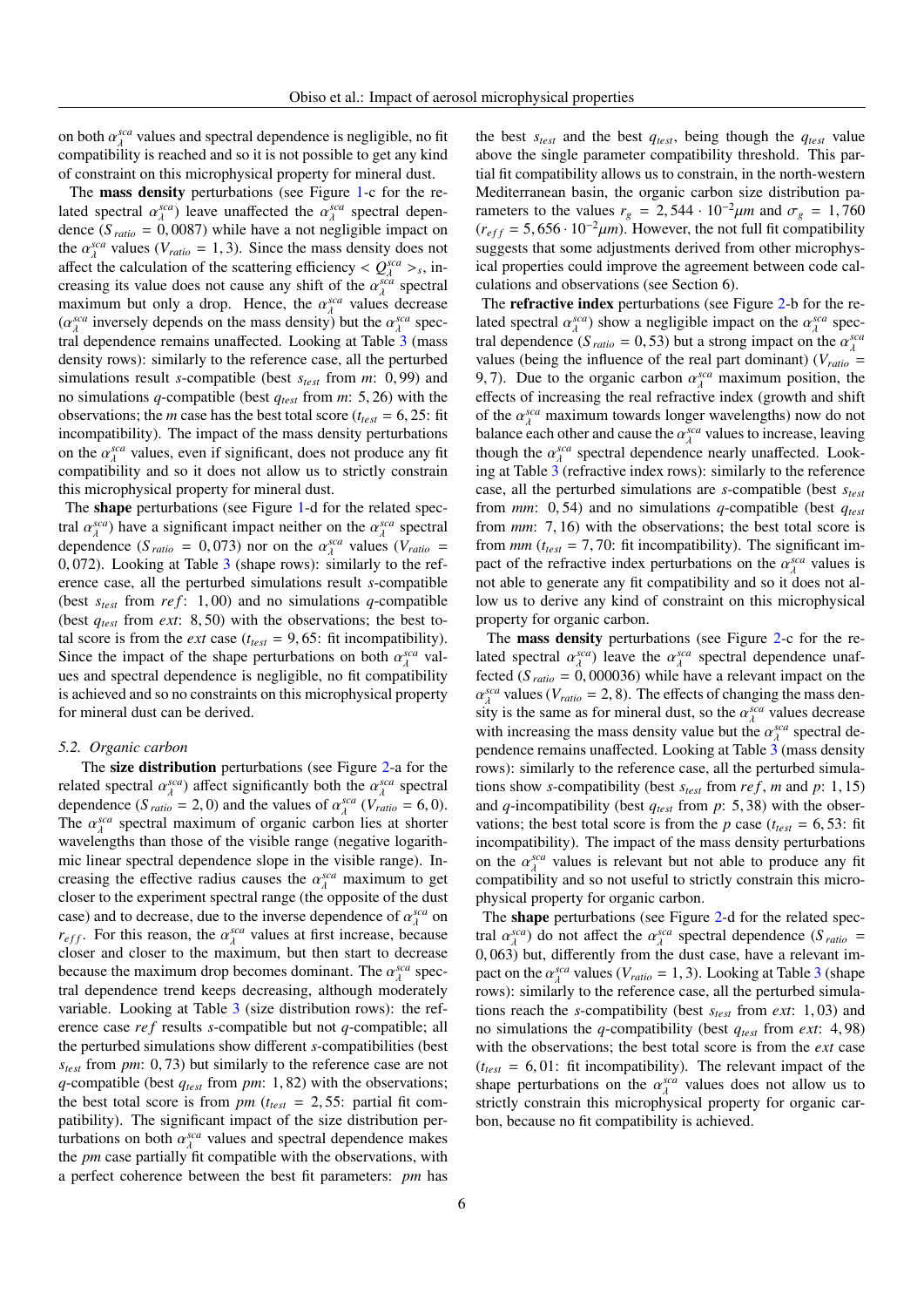on both  $\alpha_{\lambda}^{sea}$  values and spectral dependence is negligible, no fit<br>compatibility is reached and so it is not possible to get any kind compatibility is reached and so it is not possible to get any kind of constraint on this microphysical property for mineral dust.

The mass density perturbations (see Figure [1-](#page-14-0)c for the related spectral  $\alpha_{\lambda}^{sca}$  leave unaffected the  $\alpha_{\lambda}^{sca}$  spectral depen-<br>dence (S<sub>apper</sub> = 0,0087) while have a not negligible impact on dence  $(S_{ratio} = 0,0087)$  while have a not negligible impact on<br>the  $\alpha^{gcd}$  values  $(V_1, V_2, V_3)$ . Since the mass density does not the  $\alpha_{\lambda}^{sea}$  values ( $V_{ratio} = 1, 3$ ). Since the mass density does not affect the calculation of the scattering efficiency  $\lt O^{sea}$  > inaffect the calculation of the scattering efficiency  $\langle Q_{\lambda}^{sca} \rangle_s$ , in-<br>creasing its value does not cause any shift of the  $\alpha^{sca}$  spectral  $\frac{\lambda}{\lambda} > s$ creasing its value does not cause any shift of the  $\alpha_{\lambda}^{sca}$  spectral<br>maximum but only a drop. Hence, the  $\alpha_{\lambda}^{sca}$  values decrease maximum but only a drop. Hence, the  $\alpha_{\lambda}^{sca}$  values decrease<br> $(\alpha^{sca}$  inversely depends on the mass density) but the  $\alpha^{sca}$  spec- $(\alpha_A^{sca}$  inversely depends on the mass density) but the  $\alpha_A^{sca}$  spec-<br>tral dependence remains unaffected. Looking at Table 3 (mass tral dependence remains unaffected. Looking at Table [3](#page-13-0) (mass density rows): similarly to the reference case, all the perturbed simulations result *<sup>s</sup>*-compatible (best *<sup>s</sup>test* from *<sup>m</sup>*: 0, 99) and no simulations *<sup>q</sup>*-compatible (best *<sup>q</sup>test* from *<sup>m</sup>*: 5, 26) with the observations; the *m* case has the best total score ( $t_{test} = 6, 25$ : fit incompatibility). The impact of the mass density perturbations on the  $\alpha_{\lambda}^{sca}$  values, even if significant, does not produce any fit<br>compatibility and so it does not allow us to strictly constrain compatibility and so it does not allow us to strictly constrain this microphysical property for mineral dust.

The shape perturbations (see Figure [1-](#page-14-0)d for the related spectral  $\alpha_{\lambda}^{sca}$  have a significant impact neither on the  $\alpha_{\lambda}^{sca}$  spectral<br>dependence  $(S_{\lambda} = 0.073)$  por on the  $\alpha_{\lambda}^{sca}$  values  $(Y_{\lambda} = -1.0073)$ dependence  $(S_{ratio} = 0.073)$  nor on the  $\alpha_{\lambda}^{sca}$  values  $(V_{ratio} = 0.072)$ . Looking at Table 3 (shape rows); similarly to the ref. 0, 072). Looking at Table [3](#page-13-0) (shape rows): similarly to the ref-<br>erence case, all the perturbed simulations result s-compatible erence case, all the perturbed simulations result *s*-compatible (best  $s_{test}$  from  $ref: 1,00$ ) and no simulations *q*-compatible (best *<sup>q</sup>test* from *ext*: 8, 50) with the observations; the best total score is from the *ext* case ( $t_{test} = 9,65$ : fit incompatibility). Since the impact of the shape perturbations on both  $\alpha_{\lambda}^{sca}$  val-<br>ues and spectral dependence is pertigible, no fit compatibility ues and spectral dependence is negligible, no fit compatibility is achieved and so no constraints on this microphysical property for mineral dust can be derived.

# *5.2. Organic carbon*

The size distribution perturbations (see Figure [2-](#page-15-0)a for the related spectral  $\alpha_{\lambda}^{sca}$  affect significantly both the  $\alpha_{\lambda}^{sca}$  spectral<br>dependence  $(S_{\lambda} = 2, 0)$  and the values of  $\alpha^{sca}$   $(V_{\lambda} = 6, 0)$ dependence  $(S_{ratio} = 2, 0)$  and the values of  $\alpha_{\lambda}^{sca}$  ( $V_{ratio} = 6, 0$ ).<br>The  $\alpha_{\lambda}^{sca}$  spectral maximum of organic carbon lies at shorter The  $\alpha_{\lambda}^{sca}$  spectral maximum of organic carbon lies at shorter<br>wavelengths than those of the visible range (negative logarithwavelengths than those of the visible range (negative logarithmic linear spectral dependence slope in the visible range). Increasing the effective radius causes the  $\alpha_{\lambda}^{sca}$  maximum to get<br>closer to the experiment spectral range (the opposite of the dust closer to the experiment spectral range (the opposite of the dust case) and to decrease, due to the inverse dependence of  $\alpha_A^{sca}$  on  $r_{\alpha}$ . For this reason, the  $\alpha_A^{sca}$  values at first increase, because *r<sub>eff</sub>*. For this reason, the  $\alpha_{\lambda}^{sca}$  values at first increase, because closer and closer to the maximum, but then start to decrease closer and closer to the maximum, but then start to decrease because the maximum drop becomes dominant. The  $\alpha_{\lambda}^{sea}$  spec-<br>tral dependence trend keeps decreasing although moderately tral dependence trend keeps decreasing, although moderately variable. Looking at Table [3](#page-13-0) (size distribution rows): the reference case *re f* results *s*-compatible but not *q*-compatible; all the perturbed simulations show different *s*-compatibilities (best *<sup>s</sup>test* from *pm*: 0, 73) but similarly to the reference case are not *<sup>q</sup>*-compatible (best *<sup>q</sup>test* from *pm*: 1, 82) with the observations; the best total score is from *pm* ( $t_{test} = 2,55$ : partial fit compatibility). The significant impact of the size distribution perturbations on both  $\alpha_{\lambda}^{sea}$  values and spectral dependence makes<br>the *nm* case partially fit compatible with the observations with the *pm* case partially fit compatible with the observations, with a perfect coherence between the best fit parameters: *pm* has

the best *stest* and the best *qtest*, being though the *qtest* value above the single parameter compatibility threshold. This partial fit compatibility allows us to constrain, in the north-western Mediterranean basin, the organic carbon size distribution parameters to the values  $r_g = 2{,}544 \cdot 10^{-2} \mu m$  and  $\sigma_g = 1{,}760$  $(r<sub>eff</sub> = 5,656 \cdot 10^{-2} \mu m)$ . However, the not full fit compatibility suggests that some adjustments derived from other microphysical properties could improve the agreement between code calculations and observations (see Section 6).

The **refractive index** perturbations (see Figure [2-](#page-15-0)b for the related spectral  $\alpha_{\lambda}^{sca}$  show a negligible impact on the  $\alpha_{\lambda}^{sca}$  spectral dependence (S<sub>apper</sub> - 0.53) but a strong impact on the  $\alpha_{\lambda}^{sca}$ tral dependence (*S ratio* = 0, 53) but a strong impact on the  $\alpha_{\lambda}^{sca}$ <br>values (being the influence of the real part dominant) (*V* values (being the influence of the real part dominant) ( $V_{ratio}$  = 9, 7). Due to the organic carbon  $\alpha_{\lambda}^{sca}$  maximum position, the effects of increasing the real refractive index (growth and shift effects of increasing the real refractive index (growth and shift of the  $\alpha_{\lambda}^{sca}$  maximum towards longer wavelengths) now do not<br>halance each other and cause the  $\alpha^{sca}$  values to increase, leaving balance each other and cause the  $\alpha_A^{sca}$  values to increase, leaving<br>though the  $\alpha_{sca}$  spectral dependence nearly unaffected. Lookthough the  $\alpha_A^{sca}$  spectral dependence nearly unaffected. Look-<br>ing at Table 3 (refractive index rows): similarly to the reference ing at Table [3](#page-13-0) (refractive index rows): similarly to the reference case, all the perturbed simulations are *s*-compatible (best *stest* from *mm*: 0, 54) and no simulations *<sup>q</sup>*-compatible (best *<sup>q</sup>test* from *mm*: 7, 16) with the observations; the best total score is from  $mm$  ( $t_{test} = 7,70$ : fit incompatibility). The significant impact of the refractive index perturbations on the  $\alpha_{\lambda}^{sca}$  values is<br>not able to generate any fit compatibility and so it does not alnot able to generate any fit compatibility and so it does not allow us to derive any kind of constraint on this microphysical property for organic carbon.

The mass density perturbations (see Figure [2-](#page-15-0)c for the related spectral  $\alpha_{\lambda}^{sca}$ ) leave the  $\alpha_{\lambda}^{sca}$  spectral dependence unaf-<br>fected  $(S_{\lambda} = 0.000036)$  while have a relevant impact on the fected  $(S_{ratio} = 0,000036)$  while have a relevant impact on the  $\alpha^{sea}$  values  $(V_+ - 2, 8)$ . The effects of changing the mass density is the same as for mineral dust, so the  $\alpha_{\lambda}^{sea}$  values decrease<br>with increasing the mass density value but the  $\alpha_{\lambda}^{sea}$  spectral de*sca* values (*V<sub>ratio</sub>* = 2, 8). The effects of changing the mass den-<br>ty is the same as for mineral dust, so the  $\alpha^{sca}$  values decrease with increasing the mass density value but the  $\alpha_{\lambda}^{sca}$  spectral de-<br>pendence remains unaffected Looking at Table 3 (mass density pendence remains unaffected. Looking at Table [3](#page-13-0) (mass density rows): similarly to the reference case, all the perturbed simulations show *<sup>s</sup>*-compatibility (best *<sup>s</sup>test* from *re f* , *<sup>m</sup>* and *<sup>p</sup>*: 1, 15) and *<sup>q</sup>*-incompatibility (best *<sup>q</sup>test* from *<sup>p</sup>*: 5, 38) with the observations; the best total score is from the *p* case ( $t_{test} = 6, 53$ : fit incompatibility). The impact of the mass density perturbations on the  $\alpha_{\lambda}^{sca}$  values is relevant but not able to produce any fit compatibility and so not useful to strictly constrain this microcompatibility and so not useful to strictly constrain this microphysical property for organic carbon.

The shape perturbations (see Figure [2-](#page-15-0)d for the related spectral  $\alpha_{\lambda}^{sca}$ ) do not affect the  $\alpha_{\lambda}^{sca}$  spectral dependence (*S ratio* = 0.063) but differently from the dust case, have a relevant im-0, 063) but, differently from the dust case, have a relevant im-<br>pact on the  $\alpha^{sca}$  values  $(V_+ - 1, 3)$ . Looking at Table 3 (shape pact on the  $\alpha_A^{sca}$  values ( $V_{ratio} = 1, 3$  $V_{ratio} = 1, 3$ ). Looking at Table 3 (shape<br>rows): similarly to the reference case, all the perturbed simularows): similarly to the reference case, all the perturbed simulations reach the *<sup>s</sup>*-compatibility (best *<sup>s</sup>test* from *ext*: 1, 03) and no simulations the *<sup>q</sup>*-compatibility (best *<sup>q</sup>test* from *ext*: 4, 98) with the observations; the best total score is from the *ext* case  $(t<sub>test</sub> = 6, 01$ : fit incompatibility). The relevant impact of the shape perturbations on the  $\alpha_{\lambda}^{sca}$  values does not allow us to strictly constrain this microphysical property for organic carstrictly constrain this microphysical property for organic carbon, because no fit compatibility is achieved.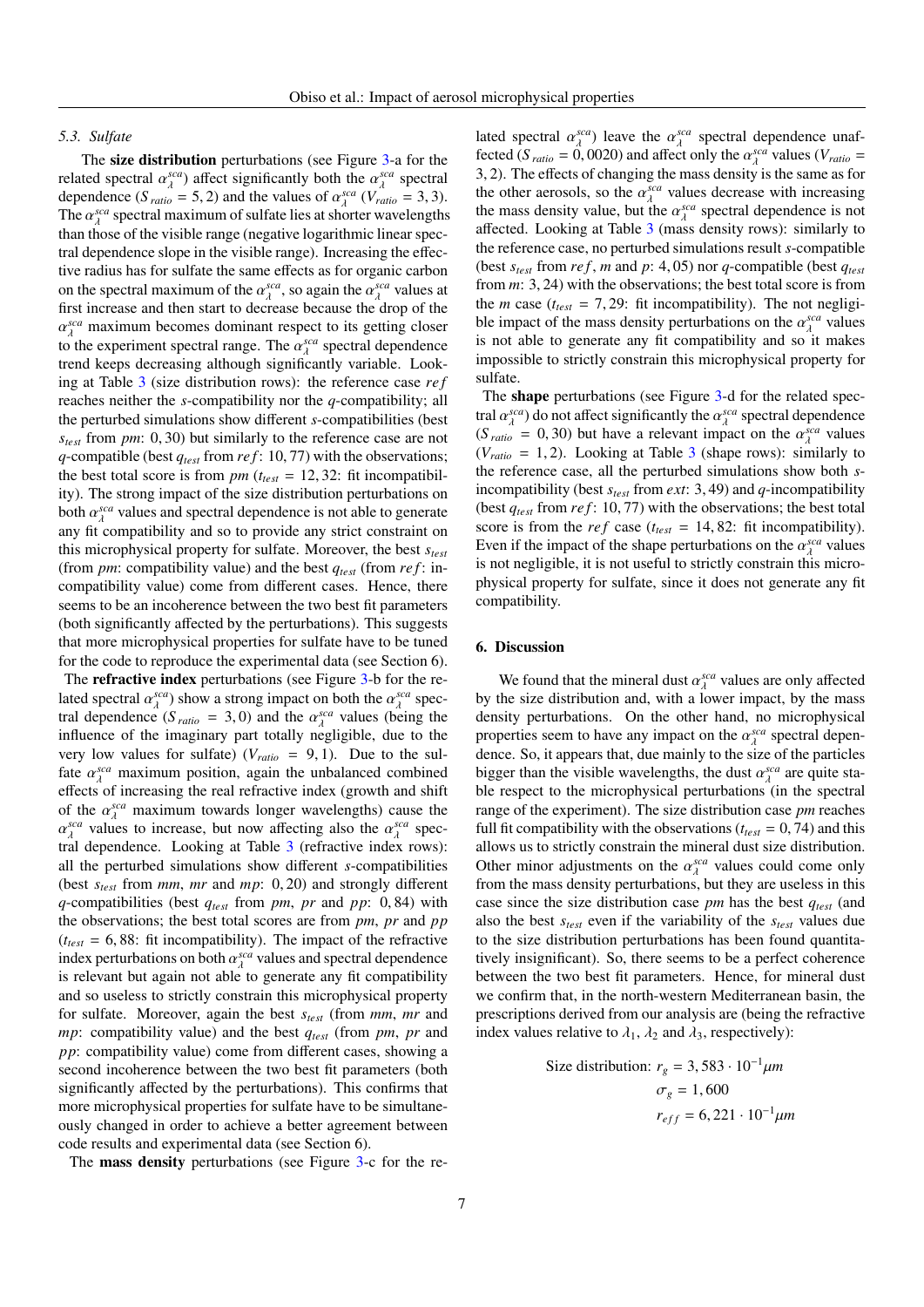## *5.3. Sulfate*

The size distribution perturbations (see Figure [3-](#page-16-0)a for the related spectral  $\alpha_{\lambda}^{sca}$  affect significantly both the  $\alpha_{\lambda}^{sca}$  spectral<br>dependence  $(S_{\lambda} = 5, 2)$  and the values of  $\alpha^{sca}$   $(N_{\lambda} = 3, 3)$ dependence  $(S_{ratio} = 5, 2)$  and the values of  $\alpha_{\lambda}^{sca}$  ( $V_{ratio} = 3, 3$ ).<br>The  $\alpha_{\lambda}^{sca}$  spectral maximum of sulfate lies at shorter wavelengths The  $\alpha_{\lambda}^{sea}$  spectral maximum of sulfate lies at shorter wavelengths<br>than those of the visible range (peoptive logarithmic linear specthan those of the visible range (negative logarithmic linear spectral dependence slope in the visible range). Increasing the effective radius has for sulfate the same effects as for organic carbon on the spectral maximum of the  $\alpha_{\lambda}^{sca}$ , so again the  $\alpha_{\lambda}^{sca}$  values at first increase and then start to decrease because the drop of the first increase and then start to decrease because the drop of the to the experiment spectral range. The  $\alpha_{\lambda}^{sca}$  spectral dependence<br>trend keeps decreasing although significantly variable. Look*sca* maximum becomes dominant respect to its getting closer<br>  $\Delta$  the experiment spectral range. The  $\alpha^{sca}$  spectral dependence trend keeps decreasing although significantly variable. Looking at Table [3](#page-13-0) (size distribution rows): the reference case *re f* reaches neither the *s*-compatibility nor the *q*-compatibility; all the perturbed simulations show different *s*-compatibilities (best *<sup>s</sup>test* from *pm*: 0, 30) but similarly to the reference case are not *<sup>q</sup>*-compatible (best *<sup>q</sup>test* from *re f* : 10, 77) with the observations; the best total score is from  $pm (t_{test} = 12, 32)$ : fit incompatibility). The strong impact of the size distribution perturbations on both  $\alpha_{\lambda}^{sca}$  values and spectral dependence is not able to generate<br>any fit compatibility and so to provide any strict constraint on any fit compatibility and so to provide any strict constraint on this microphysical property for sulfate. Moreover, the best *stest* (from *pm*: compatibility value) and the best *qtest* (from *re f* : incompatibility value) come from different cases. Hence, there seems to be an incoherence between the two best fit parameters (both significantly affected by the perturbations). This suggests that more microphysical properties for sulfate have to be tuned for the code to reproduce the experimental data (see Section 6).

The refractive index perturbations (see Figure [3-](#page-16-0)b for the related spectral  $\alpha_{\lambda}^{sca}$ ) show a strong impact on both the  $\alpha_{\lambda}^{sca}$  spec-<br>tral dependence  $(S_{\lambda} = 3, 0)$  and the  $\alpha_{\lambda}^{sca}$  values (being the tral dependence  $(S_{ratio} = 3, 0)$  and the  $\alpha_{\lambda}^{sca}$  values (being the influence of the imaginary part totally peoligible due to the influence of the imaginary part totally negligible, due to the very low values for sulfate)  $(V<sub>ratio</sub> = 9, 1)$ . Due to the sulfate  $\alpha_A^{sca}$  maximum position, again the unbalanced combined<br>effects of increasing the real refractive index (growth and shift effects of increasing the real refractive index (growth and shift of the  $\alpha_{\lambda}^{sca}$  maximum towards longer wavelengths) cause the  $\alpha_{\lambda}^{sca}$  values to increase but now affecting also the  $\alpha_{\lambda}^{sca}$  spec-tral dependence. Looking at Table [3](#page-13-0) (refractive index rows): *sca* values to increase, but now affecting also the  $\alpha_{\lambda}^{sca}$  spec-<br>al dependence. Looking at Table 3 (refractive index rows): all the perturbed simulations show different *s*-compatibilities (best *<sup>s</sup>test* from *mm*, *mr* and *mp*: 0, 20) and strongly different *<sup>q</sup>*-compatibilities (best *<sup>q</sup>test* from *pm*, *pr* and *pp*: 0, 84) with the observations; the best total scores are from *pm*, *pr* and *pp*  $(t<sub>test</sub> = 6, 88$ : fit incompatibility). The impact of the refractive index perturbations on both  $\alpha_A^{sca}$  values and spectral dependence<br>is relevant but again not able to generate any fit compatibility is relevant but again not able to generate any fit compatibility and so useless to strictly constrain this microphysical property for sulfate. Moreover, again the best *stest* (from *mm*, *mr* and *mp*: compatibility value) and the best *qtest* (from *pm*, *pr* and *pp*: compatibility value) come from different cases, showing a second incoherence between the two best fit parameters (both significantly affected by the perturbations). This confirms that more microphysical properties for sulfate have to be simultaneously changed in order to achieve a better agreement between code results and experimental data (see Section 6).

The mass density perturbations (see Figure [3-](#page-16-0)c for the re-

lated spectral  $\alpha_{\lambda}^{sca}$ ) leave the  $\alpha_{\lambda}^{sca}$  spectral dependence unaf-<br>fected (S<sub>ack</sub> = 0,0020) and affect only the  $\alpha_{\lambda}^{sca}$  values (V<sub>ack</sub> = fected (*S ratio* = 0, 0020) and affect only the  $\alpha_A^{sca}$  values (*V<sub>ratio</sub>* = 3.2). The effects of changing the mass density is the same as for 3, 2). The effects of changing the mass density is the same as for the other genosols, so the  $\alpha^{sea}$  values decrease with increasing the other aerosols, so the  $\alpha_{\lambda}^{sea}$  values decrease with increasing<br>the mass density value, but the  $\alpha_{\lambda}^{sea}$  spectral dependence is not the mass density value, but the  $\alpha_{\lambda}^{sea}$  spectral dependence is not<br>affected. Looking at Table 3 (mass density rows): similarly to affected. Looking at Table [3](#page-13-0) (mass density rows): similarly to the reference case, no perturbed simulations result *s*-compatible (best  $s_{test}$  from  $ref$ , *m* and  $p: 4, 05$ ) nor *q*-compatible (best  $q_{test}$ ) from *<sup>m</sup>*: 3, 24) with the observations; the best total score is from the *m* case  $(t_{test} = 7, 29$ : fit incompatibility). The not negligible impact of the mass density perturbations on the  $\alpha_{\lambda}^{sca}$  values<br>is not able to generate any fit compatibility and so it makes is not able to generate any fit compatibility and so it makes impossible to strictly constrain this microphysical property for sulfate.

The **shape** perturbations (see Figure [3-](#page-16-0)d for the related spectral  $\alpha_{\lambda}^{sca}$  do not affect significantly the  $\alpha_{\lambda}^{sca}$  spectral dependence<br>(S<sub>ack</sub> = 0.30) but have a relevant impact on the  $\alpha_{\lambda}^{sca}$  values  $(S<sub>ratio</sub> = 0, 30)$  but have a relevant impact on the  $\alpha_{\lambda}^{sca}$  values<br> $(V_{\lambda} = 1, 2)$ . Looking at Table 3 (shape rows): similarly to  $(V_{ratio} = 1, 2)$ . Looking at Table [3](#page-13-0) (shape rows): similarly to the reference case all the perturbed simulations show both so the reference case, all the perturbed simulations show both *s*incompatibility (best *<sup>s</sup>test* from *ext*: 3, 49) and *<sup>q</sup>*-incompatibility (best *<sup>q</sup>test* from *re f* : 10, 77) with the observations; the best total score is from the *ref* case ( $t_{test} = 14, 82$ : fit incompatibility). Even if the impact of the shape perturbations on the  $\alpha_{\lambda}^{sca}$  values<br>is not perficible, it is not useful to strictly constrain this microis not negligible, it is not useful to strictly constrain this microphysical property for sulfate, since it does not generate any fit compatibility.

#### 6. Discussion

We found that the mineral dust  $\alpha_{\lambda}^{sca}$  values are only affected<br>the size distribution and with a lower impact, by the mass by the size distribution and, with a lower impact, by the mass density perturbations. On the other hand, no microphysical properties seem to have any impact on the  $\alpha_{\lambda}^{sca}$  spectral depen-<br>dence. So, it appears that due mainly to the size of the particles dence. So, it appears that, due mainly to the size of the particles bigger than the visible wavelengths, the dust  $\alpha_{\lambda}^{sca}$  are quite stable respect to the microphysical perturbations (in the spectral ble respect to the microphysical perturbations (in the spectral range of the experiment). The size distribution case *pm* reaches full fit compatibility with the observations ( $t_{test} = 0, 74$ ) and this allows us to strictly constrain the mineral dust size distribution. Other minor adjustments on the  $\alpha_{\lambda}^{sca}$  values could come only from the mass density perturbations but they are useless in this from the mass density perturbations, but they are useless in this case since the size distribution case *pm* has the best *qtest* (and also the best *stest* even if the variability of the *stest* values due to the size distribution perturbations has been found quantitatively insignificant). So, there seems to be a perfect coherence between the two best fit parameters. Hence, for mineral dust we confirm that, in the north-western Mediterranean basin, the prescriptions derived from our analysis are (being the refractive index values relative to  $\lambda_1$ ,  $\lambda_2$  and  $\lambda_3$ , respectively):

> Size distribution:  $r_g = 3{,}583 \cdot 10^{-1} \mu m$  $\sigma_g = 1,600$  $r_{eff} = 6,221 \cdot 10^{-1} \mu m$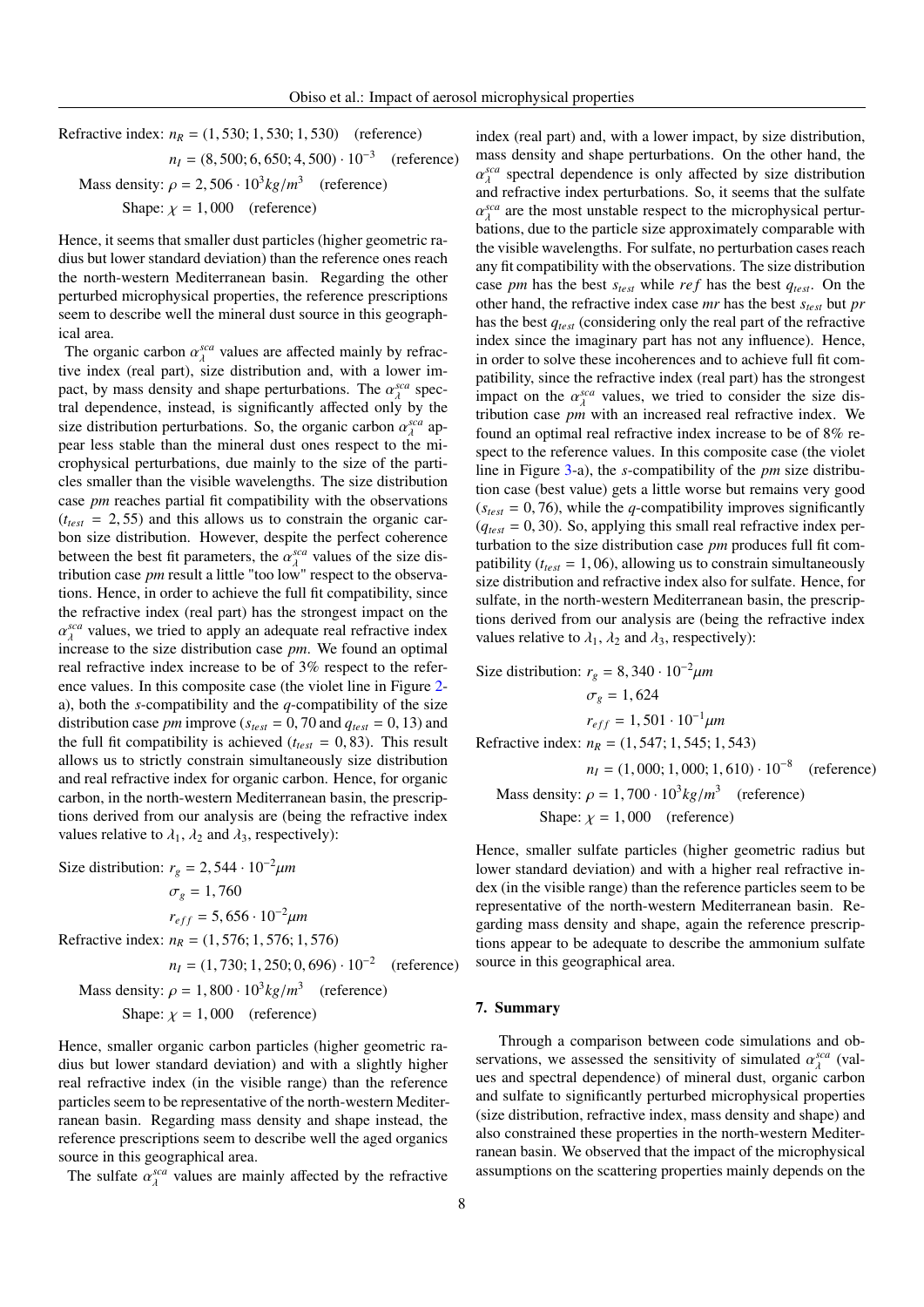Refractive index:  $n_R = (1, 530; 1, 530; 1, 530)$  (reference)  $n_I = (8, 500; 6, 650; 4, 500) \cdot 10^{-3}$ (reference) Mass density:  $\rho = 2,506 \cdot 10^3 kg/m^3$  (reference) Shape:  $\chi = 1,000$  (reference)

Hence, it seems that smaller dust particles (higher geometric radius but lower standard deviation) than the reference ones reach the north-western Mediterranean basin. Regarding the other perturbed microphysical properties, the reference prescriptions seem to describe well the mineral dust source in this geographical area.

The organic carbon  $\alpha_{\lambda}^{sca}$  values are affected mainly by refrac-<br>ive index (real part), size distribution and, with a lower im tive index (real part), size distribution and, with a lower impact, by mass density and shape perturbations. The  $\alpha_{\lambda}^{sca}$  spectral dependence instead is significantly affected only by the tral dependence, instead, is significantly affected only by the size distribution perturbations. So, the organic carbon  $\alpha_{\lambda}^{sea}$  appear less stable than the mineral dust ones respect to the mipear less stable than the mineral dust ones respect to the microphysical perturbations, due mainly to the size of the particles smaller than the visible wavelengths. The size distribution case *pm* reaches partial fit compatibility with the observations  $(t<sub>test</sub> = 2, 55)$  and this allows us to constrain the organic carbon size distribution. However, despite the perfect coherence between the best fit parameters, the  $\alpha_{\lambda}^{sca}$ <br>tribution case *pm* result a little "too low"  $\lambda^{\text{scat}}$  values of the size dis-<br>w" respect to the observatribution case *pm* result a little "too low" respect to the observations. Hence, in order to achieve the full fit compatibility, since the refractive index (real part) has the strongest impact on the  $\frac{\lambda}{\lambda}$  increase to the size distribution case *pm*. We found an optimal *sca* values, we tried to apply an adequate real refractive index real refractive index increase to be of 3% respect to the reference values. In this composite case (the violet line in Figure [2](#page-15-0) a), both the *s*-compatibility and the *q*-compatibility of the size distribution case *pm* improve ( $s_{test} = 0$ , 70 and  $q_{test} = 0$ , 13) and the full fit compatibility is achieved ( $t_{test} = 0,83$ ). This result allows us to strictly constrain simultaneously size distribution and real refractive index for organic carbon. Hence, for organic carbon, in the north-western Mediterranean basin, the prescriptions derived from our analysis are (being the refractive index values relative to  $\lambda_1$ ,  $\lambda_2$  and  $\lambda_3$ , respectively):

Size distribution:  $r_g = 2{,}544 \cdot 10^{-2} \mu m$  $\sigma_g = 1,760$  $r_{eff} = 5,656 \cdot 10^{-2} \mu m$ Refractive index: *<sup>n</sup><sup>R</sup>* <sup>=</sup> (1, 576; 1, 576; 1, 576)  $n_I = (1, 730; 1, 250; 0, 696) \cdot 10^{-2}$  (reference) Mass density:  $\rho = 1,800 \cdot 10^3 kg/m^3$  (reference) Shape:  $\chi = 1,000$  (reference)

Hence, smaller organic carbon particles (higher geometric radius but lower standard deviation) and with a slightly higher real refractive index (in the visible range) than the reference particles seem to be representative of the north-western Mediterranean basin. Regarding mass density and shape instead, the reference prescriptions seem to describe well the aged organics source in this geographical area.

The sulfate  $\alpha_{\lambda}^{sea}$  values are mainly affected by the refractive

index (real part) and, with a lower impact, by size distribution, mass density and shape perturbations. On the other hand, the and refractive index perturbations. So, it seems that the sulfate *sca* spectral dependence is only affected by size distribution  $\alpha_A$  bations, due to the particle size approximately comparable with *sca* are the most unstable respect to the microphysical perturthe visible wavelengths. For sulfate, no perturbation cases reach any fit compatibility with the observations. The size distribution case *pm* has the best *stest* while *re f* has the best *qtest*. On the other hand, the refractive index case *mr* has the best *stest* but *pr* has the best *qtest* (considering only the real part of the refractive index since the imaginary part has not any influence). Hence, in order to solve these incoherences and to achieve full fit compatibility, since the refractive index (real part) has the strongest impact on the  $\alpha_{\lambda}^{sca}$  values, we tried to consider the size distribution case  $n\mu$  with an increased real refractive index. We tribution case *pm* with an increased real refractive index. We found an optimal real refractive index increase to be of 8% respect to the reference values. In this composite case (the violet line in Figure [3-](#page-16-0)a), the *s*-compatibility of the *pm* size distribution case (best value) gets a little worse but remains very good  $(s<sub>test</sub> = 0, 76)$ , while the *q*-compatibility improves significantly  $(q_{test} = 0, 30)$ . So, applying this small real refractive index perturbation to the size distribution case *pm* produces full fit compatibility ( $t_{test} = 1,06$ ), allowing us to constrain simultaneously size distribution and refractive index also for sulfate. Hence, for sulfate, in the north-western Mediterranean basin, the prescriptions derived from our analysis are (being the refractive index values relative to  $\lambda_1$ ,  $\lambda_2$  and  $\lambda_3$ , respectively):

Size distribution: 
$$
r_g = 8,340 \cdot 10^{-2} \mu m
$$
  
\n $\sigma_g = 1,624$   
\n $r_{eff} = 1,501 \cdot 10^{-1} \mu m$   
\nRefractive index:  $n_R = (1,547; 1,545; 1,543)$   
\n $n_I = (1,000; 1,000; 1,610) \cdot 10^{-8}$  (reference)  
\nMass density:  $\rho = 1,700 \cdot 10^3 \text{ kg/m}^3$  (reference)  
\nShape:  $\chi = 1,000$  (reference)

Hence, smaller sulfate particles (higher geometric radius but lower standard deviation) and with a higher real refractive index (in the visible range) than the reference particles seem to be representative of the north-western Mediterranean basin. Regarding mass density and shape, again the reference prescriptions appear to be adequate to describe the ammonium sulfate source in this geographical area.

#### 7. Summary

Through a comparison between code simulations and observations, we assessed the sensitivity of simulated  $\alpha_A^{sea}$  (val-<br>ues and spectral dependence) of mineral dust, organic carbon ues and spectral dependence) of mineral dust, organic carbon and sulfate to significantly perturbed microphysical properties (size distribution, refractive index, mass density and shape) and also constrained these properties in the north-western Mediterranean basin. We observed that the impact of the microphysical assumptions on the scattering properties mainly depends on the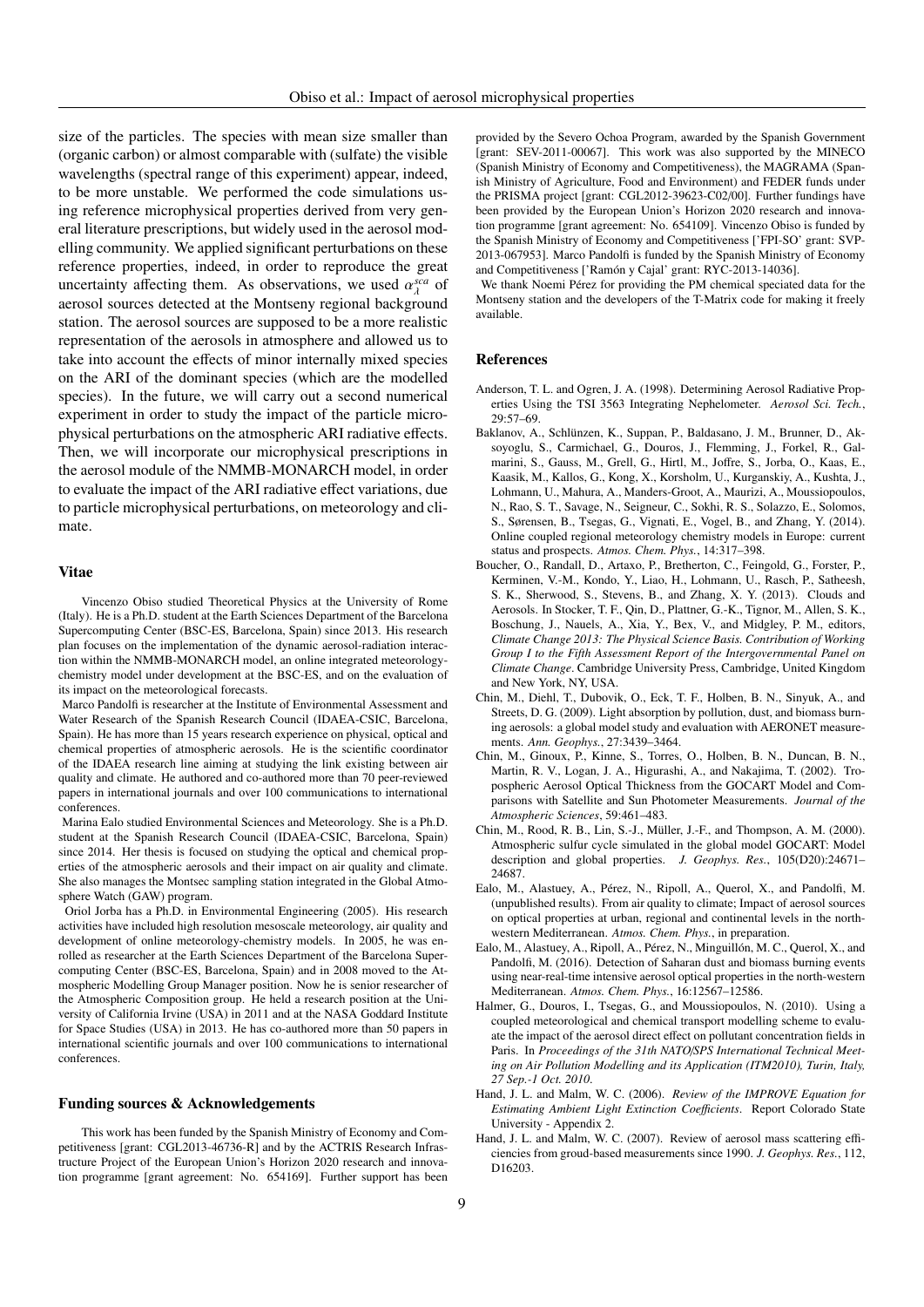size of the particles. The species with mean size smaller than (organic carbon) or almost comparable with (sulfate) the visible wavelengths (spectral range of this experiment) appear, indeed, to be more unstable. We performed the code simulations using reference microphysical properties derived from very general literature prescriptions, but widely used in the aerosol modelling community. We applied significant perturbations on these reference properties, indeed, in order to reproduce the great uncertainty affecting them. As observations, we used  $\alpha_A^{sca}$  of aerosol sources detected at the Montseny regional background aerosol sources detected at the Montseny regional background station. The aerosol sources are supposed to be a more realistic representation of the aerosols in atmosphere and allowed us to take into account the effects of minor internally mixed species on the ARI of the dominant species (which are the modelled species). In the future, we will carry out a second numerical experiment in order to study the impact of the particle microphysical perturbations on the atmospheric ARI radiative effects. Then, we will incorporate our microphysical prescriptions in the aerosol module of the NMMB-MONARCH model, in order to evaluate the impact of the ARI radiative effect variations, due to particle microphysical perturbations, on meteorology and climate.

## Vitae

Vincenzo Obiso studied Theoretical Physics at the University of Rome (Italy). He is a Ph.D. student at the Earth Sciences Department of the Barcelona Supercomputing Center (BSC-ES, Barcelona, Spain) since 2013. His research plan focuses on the implementation of the dynamic aerosol-radiation interaction within the NMMB-MONARCH model, an online integrated meteorologychemistry model under development at the BSC-ES, and on the evaluation of its impact on the meteorological forecasts.

Marco Pandolfi is researcher at the Institute of Environmental Assessment and Water Research of the Spanish Research Council (IDAEA-CSIC, Barcelona, Spain). He has more than 15 years research experience on physical, optical and chemical properties of atmospheric aerosols. He is the scientific coordinator of the IDAEA research line aiming at studying the link existing between air quality and climate. He authored and co-authored more than 70 peer-reviewed papers in international journals and over 100 communications to international conferences.

Marina Ealo studied Environmental Sciences and Meteorology. She is a Ph.D. student at the Spanish Research Council (IDAEA-CSIC, Barcelona, Spain) since 2014. Her thesis is focused on studying the optical and chemical properties of the atmospheric aerosols and their impact on air quality and climate. She also manages the Montsec sampling station integrated in the Global Atmosphere Watch (GAW) program.

Oriol Jorba has a Ph.D. in Environmental Engineering (2005). His research activities have included high resolution mesoscale meteorology, air quality and development of online meteorology-chemistry models. In 2005, he was enrolled as researcher at the Earth Sciences Department of the Barcelona Supercomputing Center (BSC-ES, Barcelona, Spain) and in 2008 moved to the Atmospheric Modelling Group Manager position. Now he is senior researcher of the Atmospheric Composition group. He held a research position at the University of California Irvine (USA) in 2011 and at the NASA Goddard Institute for Space Studies (USA) in 2013. He has co-authored more than 50 papers in international scientific journals and over 100 communications to international conferences.

#### Funding sources & Acknowledgements

This work has been funded by the Spanish Ministry of Economy and Competitiveness [grant: CGL2013-46736-R] and by the ACTRIS Research Infrastructure Project of the European Union's Horizon 2020 research and innovation programme [grant agreement: No. 654169]. Further support has been

provided by the Severo Ochoa Program, awarded by the Spanish Government [grant: SEV-2011-00067]. This work was also supported by the MINECO (Spanish Ministry of Economy and Competitiveness), the MAGRAMA (Spanish Ministry of Agriculture, Food and Environment) and FEDER funds under the PRISMA project [grant: CGL2012-39623-C02/00]. Further fundings have been provided by the European Union's Horizon 2020 research and innovation programme [grant agreement: No. 654109]. Vincenzo Obiso is funded by the Spanish Ministry of Economy and Competitiveness ['FPI-SO' grant: SVP-2013-067953]. Marco Pandolfi is funded by the Spanish Ministry of Economy and Competitiveness ['Ramón y Cajal' grant: RYC-2013-14036].

We thank Noemi Pérez for providing the PM chemical speciated data for the Montseny station and the developers of the T-Matrix code for making it freely available.

#### References

- <span id="page-8-2"></span>Anderson, T. L. and Ogren, J. A. (1998). Determining Aerosol Radiative Properties Using the TSI 3563 Integrating Nephelometer. *Aerosol Sci. Tech.*, 29:57–69.
- <span id="page-8-7"></span>Baklanov, A., Schlünzen, K., Suppan, P., Baldasano, J. M., Brunner, D., Aksoyoglu, S., Carmichael, G., Douros, J., Flemming, J., Forkel, R., Galmarini, S., Gauss, M., Grell, G., Hirtl, M., Joffre, S., Jorba, O., Kaas, E., Kaasik, M., Kallos, G., Kong, X., Korsholm, U., Kurganskiy, A., Kushta, J., Lohmann, U., Mahura, A., Manders-Groot, A., Maurizi, A., Moussiopoulos, N., Rao, S. T., Savage, N., Seigneur, C., Sokhi, R. S., Solazzo, E., Solomos, S., Sørensen, B., Tsegas, G., Vignati, E., Vogel, B., and Zhang, Y. (2014). Online coupled regional meteorology chemistry models in Europe: current status and prospects. *Atmos. Chem. Phys.*, 14:317–398.
- <span id="page-8-0"></span>Boucher, O., Randall, D., Artaxo, P., Bretherton, C., Feingold, G., Forster, P., Kerminen, V.-M., Kondo, Y., Liao, H., Lohmann, U., Rasch, P., Satheesh, S. K., Sherwood, S., Stevens, B., and Zhang, X. Y. (2013). Clouds and Aerosols. In Stocker, T. F., Qin, D., Plattner, G.-K., Tignor, M., Allen, S. K., Boschung, J., Nauels, A., Xia, Y., Bex, V., and Midgley, P. M., editors, *Climate Change 2013: The Physical Science Basis. Contribution of Working Group I to the Fifth Assessment Report of the Intergovernmental Panel on Climate Change*. Cambridge University Press, Cambridge, United Kingdom and New York, NY, USA.
- <span id="page-8-9"></span>Chin, M., Diehl, T., Dubovik, O., Eck, T. F., Holben, B. N., Sinyuk, A., and Streets, D. G. (2009). Light absorption by pollution, dust, and biomass burning aerosols: a global model study and evaluation with AERONET measurements. *Ann. Geophys.*, 27:3439–3464.
- <span id="page-8-6"></span>Chin, M., Ginoux, P., Kinne, S., Torres, O., Holben, B. N., Duncan, B. N., Martin, R. V., Logan, J. A., Higurashi, A., and Nakajima, T. (2002). Tropospheric Aerosol Optical Thickness from the GOCART Model and Comparisons with Satellite and Sun Photometer Measurements. *Journal of the Atmospheric Sciences*, 59:461–483.
- <span id="page-8-8"></span>Chin, M., Rood, R. B., Lin, S.-J., Müller, J.-F., and Thompson, A. M. (2000). Atmospheric sulfur cycle simulated in the global model GOCART: Model description and global properties. *J. Geophys. Res.*, 105(D20):24671– 24687.
- <span id="page-8-3"></span>Ealo, M., Alastuey, A., Pérez, N., Ripoll, A., Querol, X., and Pandolfi, M. (unpublished results). From air quality to climate; Impact of aerosol sources on optical properties at urban, regional and continental levels in the northwestern Mediterranean. *Atmos. Chem. Phys.*, in preparation.
- <span id="page-8-5"></span>Ealo, M., Alastuey, A., Ripoll, A., Pérez, N., Minguillón, M. C., Querol, X., and Pandolfi, M. (2016). Detection of Saharan dust and biomass burning events using near-real-time intensive aerosol optical properties in the north-western Mediterranean. *Atmos. Chem. Phys.*, 16:12567–12586.
- <span id="page-8-10"></span>Halmer, G., Douros, I., Tsegas, G., and Moussiopoulos, N. (2010). Using a coupled meteorological and chemical transport modelling scheme to evaluate the impact of the aerosol direct effect on pollutant concentration fields in Paris. In *Proceedings of the 31th NATO*/*SPS International Technical Meeting on Air Pollution Modelling and its Application (ITM2010), Turin, Italy, 27 Sep.-1 Oct. 2010*.
- <span id="page-8-4"></span>Hand, J. L. and Malm, W. C. (2006). *Review of the IMPROVE Equation for Estimating Ambient Light Extinction Coefficients*. Report Colorado State University - Appendix 2.
- <span id="page-8-1"></span>Hand, J. L. and Malm, W. C. (2007). Review of aerosol mass scattering efficiencies from groud-based measurements since 1990. *J. Geophys. Res.*, 112, D16203.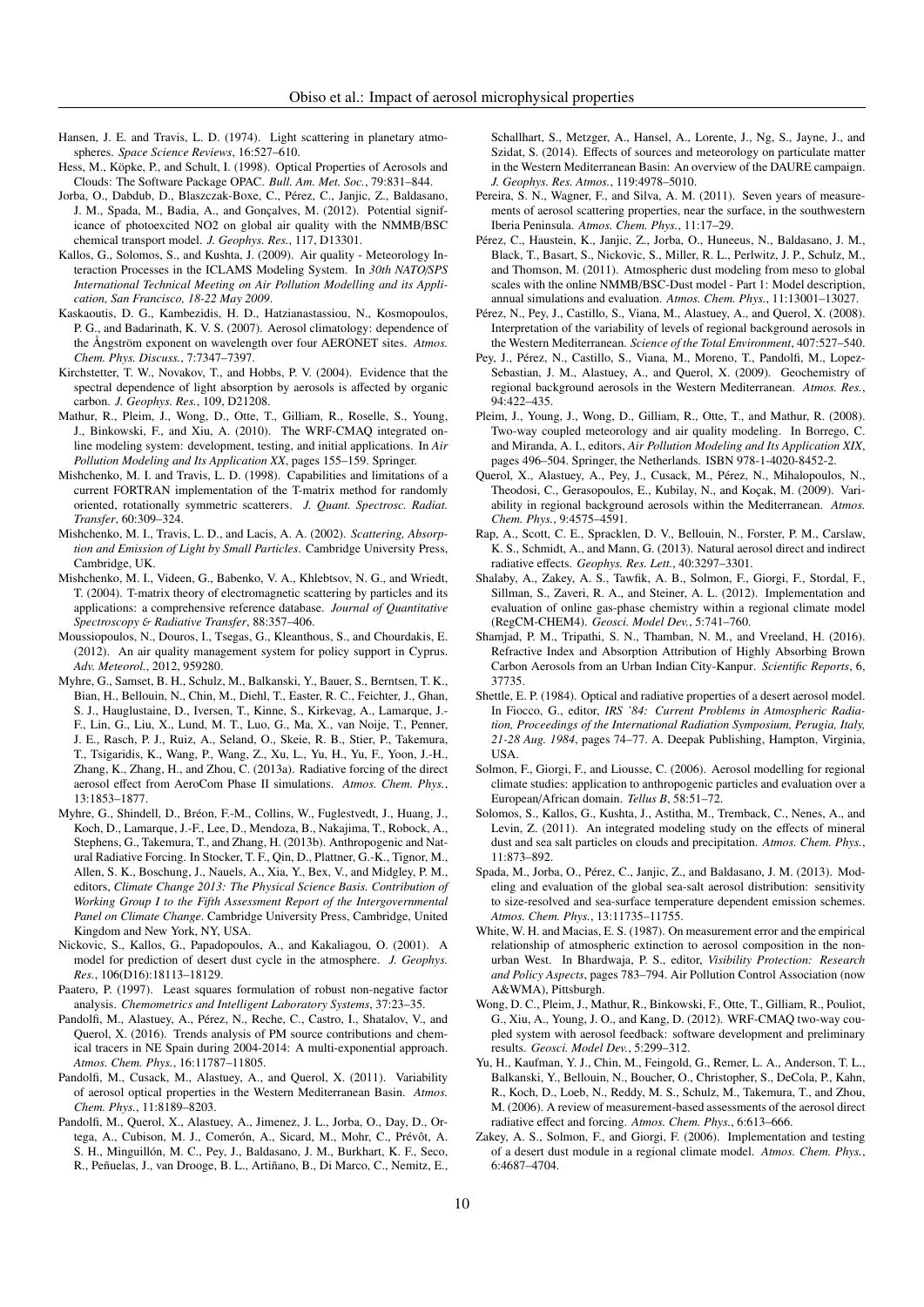<span id="page-9-33"></span>Hansen, J. E. and Travis, L. D. (1974). Light scattering in planetary atmospheres. *Space Science Reviews*, 16:527–610.

- <span id="page-9-19"></span>Hess, M., Köpke, P., and Schult, I. (1998). Optical Properties of Aerosols and Clouds: The Software Package OPAC. *Bull. Am. Met. Soc.*, 79:831–844.
- <span id="page-9-16"></span>Jorba, O., Dabdub, D., Blaszczak-Boxe, C., Pérez, C., Janjic, Z., Baldasano, J. M., Spada, M., Badia, A., and Gonçalves, M. (2012). Potential significance of photoexcited NO2 on global air quality with the NMMB/BSC chemical transport model. *J. Geophys. Res.*, 117, D13301.
- <span id="page-9-31"></span>Kallos, G., Solomos, S., and Kushta, J. (2009). Air quality - Meteorology Interaction Processes in the ICLAMS Modeling System. In *30th NATO*/*SPS International Technical Meeting on Air Pollution Modelling and its Application, San Francisco, 18-22 May 2009*.
- <span id="page-9-34"></span>Kaskaoutis, D. G., Kambezidis, H. D., Hatzianastassiou, N., Kosmopoulos, P. G., and Badarinath, K. V. S. (2007). Aerosol climatology: dependence of the Ångström exponent on wavelength over four AERONET sites. *Atmos. Chem. Phys. Discuss.*, 7:7347–7397.
- <span id="page-9-22"></span>Kirchstetter, T. W., Novakov, T., and Hobbs, P. V. (2004). Evidence that the spectral dependence of light absorption by aerosols is affected by organic carbon. *J. Geophys. Res.*, 109, D21208.
- <span id="page-9-25"></span>Mathur, R., Pleim, J., Wong, D., Otte, T., Gilliam, R., Roselle, S., Young, J., Binkowski, F., and Xiu, A. (2010). The WRF-CMAQ integrated online modeling system: development, testing, and initial applications. In *Air Pollution Modeling and Its Application XX*, pages 155–159. Springer.
- <span id="page-9-5"></span>Mishchenko, M. I. and Travis, L. D. (1998). Capabilities and limitations of a current FORTRAN implementation of the T-matrix method for randomly oriented, rotationally symmetric scatterers. *J. Quant. Spectrosc. Radiat. Transfer*, 60:309–324.
- <span id="page-9-4"></span>Mishchenko, M. I., Travis, L. D., and Lacis, A. A. (2002). *Scattering, Absorption and Emission of Light by Small Particles*. Cambridge University Press, Cambridge, UK.
- <span id="page-9-6"></span>Mishchenko, M. I., Videen, G., Babenko, V. A., Khlebtsov, N. G., and Wriedt, T. (2004). T-matrix theory of electromagnetic scattering by particles and its applications: a comprehensive reference database. *Journal of Quantitative Spectroscopy* & *Radiative Transfer*, 88:357–406.
- <span id="page-9-27"></span>Moussiopoulos, N., Douros, I., Tsegas, G., Kleanthous, S., and Chourdakis, E. (2012). An air quality management system for policy support in Cyprus. *Adv. Meteorol.*, 2012, 959280.
- <span id="page-9-0"></span>Myhre, G., Samset, B. H., Schulz, M., Balkanski, Y., Bauer, S., Berntsen, T. K., Bian, H., Bellouin, N., Chin, M., Diehl, T., Easter, R. C., Feichter, J., Ghan, S. J., Hauglustaine, D., Iversen, T., Kinne, S., Kirkevag, A., Lamarque, J.- F., Lin, G., Liu, X., Lund, M. T., Luo, G., Ma, X., van Noije, T., Penner, J. E., Rasch, P. J., Ruiz, A., Seland, O., Skeie, R. B., Stier, P., Takemura, T., Tsigaridis, K., Wang, P., Wang, Z., Xu, L., Yu, H., Yu, F., Yoon, J.-H., Zhang, K., Zhang, H., and Zhou, C. (2013a). Radiative forcing of the direct aerosol effect from AeroCom Phase II simulations. *Atmos. Chem. Phys.*, 13:1853–1877.
- <span id="page-9-1"></span>Myhre, G., Shindell, D., Bréon, F.-M., Collins, W., Fuglestvedt, J., Huang, J., Koch, D., Lamarque, J.-F., Lee, D., Mendoza, B., Nakajima, T., Robock, A., Stephens, G., Takemura, T., and Zhang, H. (2013b). Anthropogenic and Natural Radiative Forcing. In Stocker, T. F., Qin, D., Plattner, G.-K., Tignor, M., Allen, S. K., Boschung, J., Nauels, A., Xia, Y., Bex, V., and Midgley, P. M., editors, *Climate Change 2013: The Physical Science Basis. Contribution of Working Group I to the Fifth Assessment Report of the Intergovernmental Panel on Climate Change*. Cambridge University Press, Cambridge, United Kingdom and New York, NY, USA.
- <span id="page-9-21"></span>Nickovic, S., Kallos, G., Papadopoulos, A., and Kakaliagou, O. (2001). A model for prediction of desert dust cycle in the atmosphere. *J. Geophys. Res.*, 106(D16):18113–18129.
- <span id="page-9-12"></span>Paatero, P. (1997). Least squares formulation of robust non-negative factor analysis. *Chemometrics and Intelligent Laboratory Systems*, 37:23–35.
- <span id="page-9-10"></span>Pandolfi, M., Alastuey, A., Pérez, N., Reche, C., Castro, I., Shatalov, V., and Querol, X. (2016). Trends analysis of PM source contributions and chemical tracers in NE Spain during 2004-2014: A multi-exponential approach. *Atmos. Chem. Phys.*, 16:11787–11805.
- <span id="page-9-7"></span>Pandolfi, M., Cusack, M., Alastuey, A., and Querol, X. (2011). Variability of aerosol optical properties in the Western Mediterranean Basin. *Atmos. Chem. Phys.*, 11:8189–8203.
- <span id="page-9-13"></span>Pandolfi, M., Querol, X., Alastuey, A., Jimenez, J. L., Jorba, O., Day, D., Ortega, A., Cubison, M. J., Comerón, A., Sicard, M., Mohr, C., Prévôt, A. S. H., Minguillón, M. C., Pey, J., Baldasano, J. M., Burkhart, K. F., Seco, R., Peñuelas, J., van Drooge, B. L., Artiñano, B., Di Marco, C., Nemitz, E.,

Schallhart, S., Metzger, A., Hansel, A., Lorente, J., Ng, S., Jayne, J., and Szidat, S. (2014). Effects of sources and meteorology on particulate matter in the Western Mediterranean Basin: An overview of the DAURE campaign. *J. Geophys. Res. Atmos.*, 119:4978–5010.

- <span id="page-9-8"></span>Pereira, S. N., Wagner, F., and Silva, A. M. (2011). Seven years of measurements of aerosol scattering properties, near the surface, in the southwestern Iberia Peninsula. *Atmos. Chem. Phys.*, 11:17–29.
- <span id="page-9-17"></span>Pérez, C., Haustein, K., Janjic, Z., Jorba, O., Huneeus, N., Baldasano, J. M., Black, T., Basart, S., Nickovic, S., Miller, R. L., Perlwitz, J. P., Schulz, M., and Thomson, M. (2011). Atmospheric dust modeling from meso to global scales with the online NMMB/BSC-Dust model - Part 1: Model description, annual simulations and evaluation. *Atmos. Chem. Phys.*, 11:13001–13027.
- <span id="page-9-14"></span>Pérez, N., Pey, J., Castillo, S., Viana, M., Alastuey, A., and Querol, X. (2008). Interpretation of the variability of levels of regional background aerosols in the Western Mediterranean. *Science of the Total Environment*, 407:527–540.
- <span id="page-9-15"></span>Pey, J., Pérez, N., Castillo, S., Viana, M., Moreno, T., Pandolfi, M., Lopez-Sebastian, J. M., Alastuey, A., and Querol, X. (2009). Geochemistry of regional background aerosols in the Western Mediterranean. *Atmos. Res.*, 94:422–435.
- <span id="page-9-24"></span>Pleim, J., Young, J., Wong, D., Gilliam, R., Otte, T., and Mathur, R. (2008). Two-way coupled meteorology and air quality modeling. In Borrego, C. and Miranda, A. I., editors, *Air Pollution Modeling and Its Application XIX*, pages 496–504. Springer, the Netherlands. ISBN 978-1-4020-8452-2.
- <span id="page-9-11"></span>Querol, X., Alastuey, A., Pey, J., Cusack, M., Pérez, N., Mihalopoulos, N., Theodosi, C., Gerasopoulos, E., Kubilay, N., and Koçak, M. (2009). Variability in regional background aerosols within the Mediterranean. *Atmos. Chem. Phys.*, 9:4575–4591.
- <span id="page-9-2"></span>Rap, A., Scott, C. E., Spracklen, D. V., Bellouin, N., Forster, P. M., Carslaw, K. S., Schmidt, A., and Mann, G. (2013). Natural aerosol direct and indirect radiative effects. *Geophys. Res. Lett.*, 40:3297–3301.
- <span id="page-9-30"></span>Shalaby, A., Zakey, A. S., Tawfik, A. B., Solmon, F., Giorgi, F., Stordal, F., Sillman, S., Zaveri, R. A., and Steiner, A. L. (2012). Implementation and evaluation of online gas-phase chemistry within a regional climate model (RegCM-CHEM4). *Geosci. Model Dev.*, 5:741–760.
- <span id="page-9-23"></span>Shamjad, P. M., Tripathi, S. N., Thamban, N. M., and Vreeland, H. (2016). Refractive Index and Absorption Attribution of Highly Absorbing Brown Carbon Aerosols from an Urban Indian City-Kanpur. *Scientific Reports*, 6, 37735.
- <span id="page-9-20"></span>Shettle, E. P. (1984). Optical and radiative properties of a desert aerosol model. In Fiocco, G., editor, *IRS '84: Current Problems in Atmospheric Radiation, Proceedings of the International Radiation Symposium, Perugia, Italy, 21-28 Aug. 1984*, pages 74–77. A. Deepak Publishing, Hampton, Virginia, USA.
- <span id="page-9-29"></span>Solmon, F., Giorgi, F., and Liousse, C. (2006). Aerosol modelling for regional climate studies: application to anthropogenic particles and evaluation over a European/African domain. *Tellus B*, 58:51–72.
- <span id="page-9-32"></span>Solomos, S., Kallos, G., Kushta, J., Astitha, M., Tremback, C., Nenes, A., and Levin, Z. (2011). An integrated modeling study on the effects of mineral dust and sea salt particles on clouds and precipitation. *Atmos. Chem. Phys.*, 11:873–892.
- <span id="page-9-18"></span>Spada, M., Jorba, O., Pérez, C., Janjic, Z., and Baldasano, J. M. (2013). Modeling and evaluation of the global sea-salt aerosol distribution: sensitivity to size-resolved and sea-surface temperature dependent emission schemes. *Atmos. Chem. Phys.*, 13:11735–11755.
- <span id="page-9-9"></span>White, W. H. and Macias, E. S. (1987). On measurement error and the empirical relationship of atmospheric extinction to aerosol composition in the nonurban West. In Bhardwaja, P. S., editor, *Visibility Protection: Research and Policy Aspects*, pages 783–794. Air Pollution Control Association (now A&WMA), Pittsburgh.
- <span id="page-9-26"></span>Wong, D. C., Pleim, J., Mathur, R., Binkowski, F., Otte, T., Gilliam, R., Pouliot, G., Xiu, A., Young, J. O., and Kang, D. (2012). WRF-CMAQ two-way coupled system with aerosol feedback: software development and preliminary results. *Geosci. Model Dev.*, 5:299–312.
- <span id="page-9-3"></span>Yu, H., Kaufman, Y. J., Chin, M., Feingold, G., Remer, L. A., Anderson, T. L., Balkanski, Y., Bellouin, N., Boucher, O., Christopher, S., DeCola, P., Kahn, R., Koch, D., Loeb, N., Reddy, M. S., Schulz, M., Takemura, T., and Zhou, M. (2006). A review of measurement-based assessments of the aerosol direct radiative effect and forcing. *Atmos. Chem. Phys.*, 6:613–666.
- <span id="page-9-28"></span>Zakey, A. S., Solmon, F., and Giorgi, F. (2006). Implementation and testing of a desert dust module in a regional climate model. *Atmos. Chem. Phys.*, 6:4687–4704.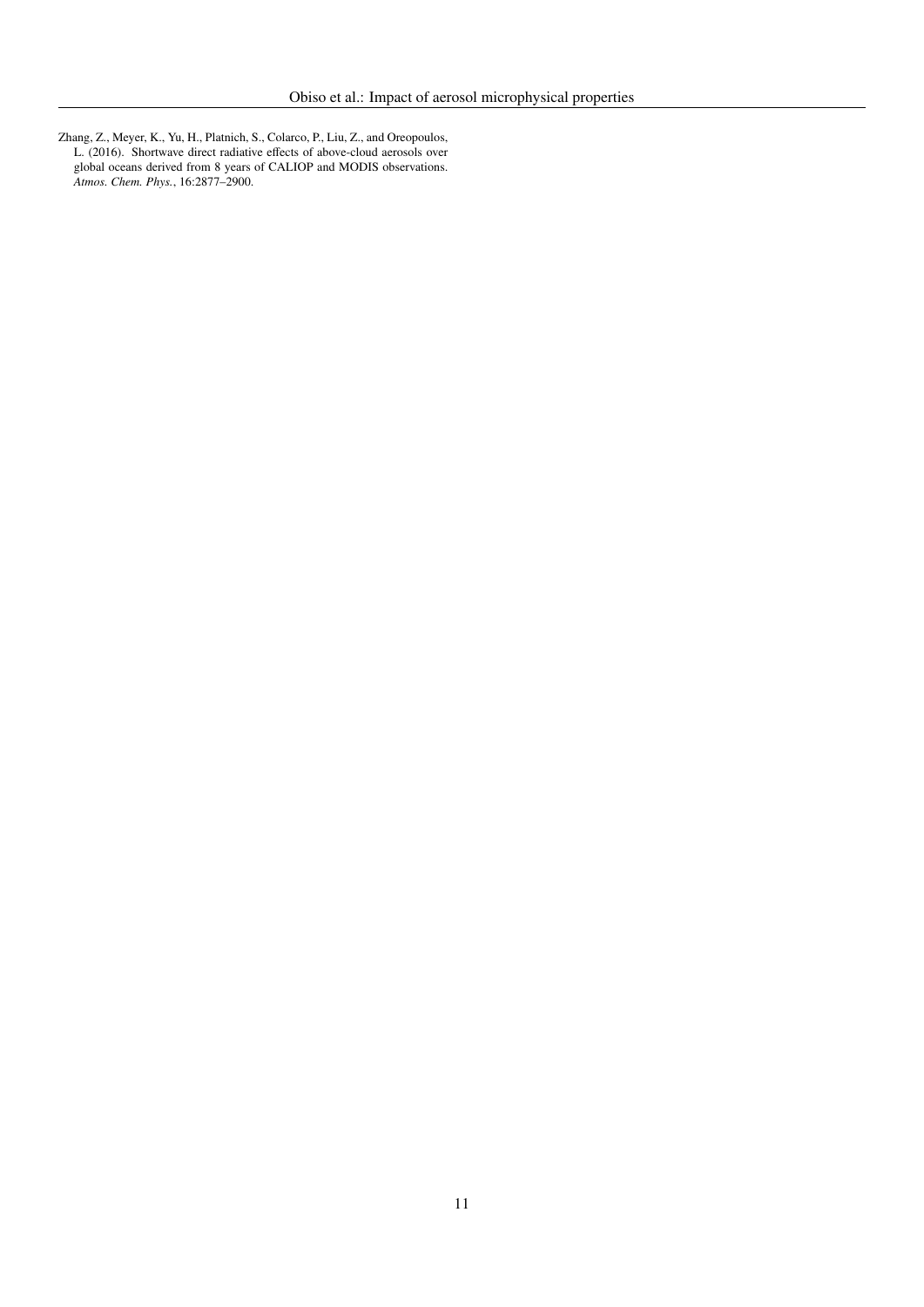<span id="page-10-0"></span>Zhang, Z., Meyer, K., Yu, H., Platnich, S., Colarco, P., Liu, Z., and Oreopoulos, L. (2016). Shortwave direct radiative effects of above-cloud aerosols over global oceans derived from 8 years of CALIOP and MODIS observations. *Atmos. Chem. Phys.*, 16:2877–2900.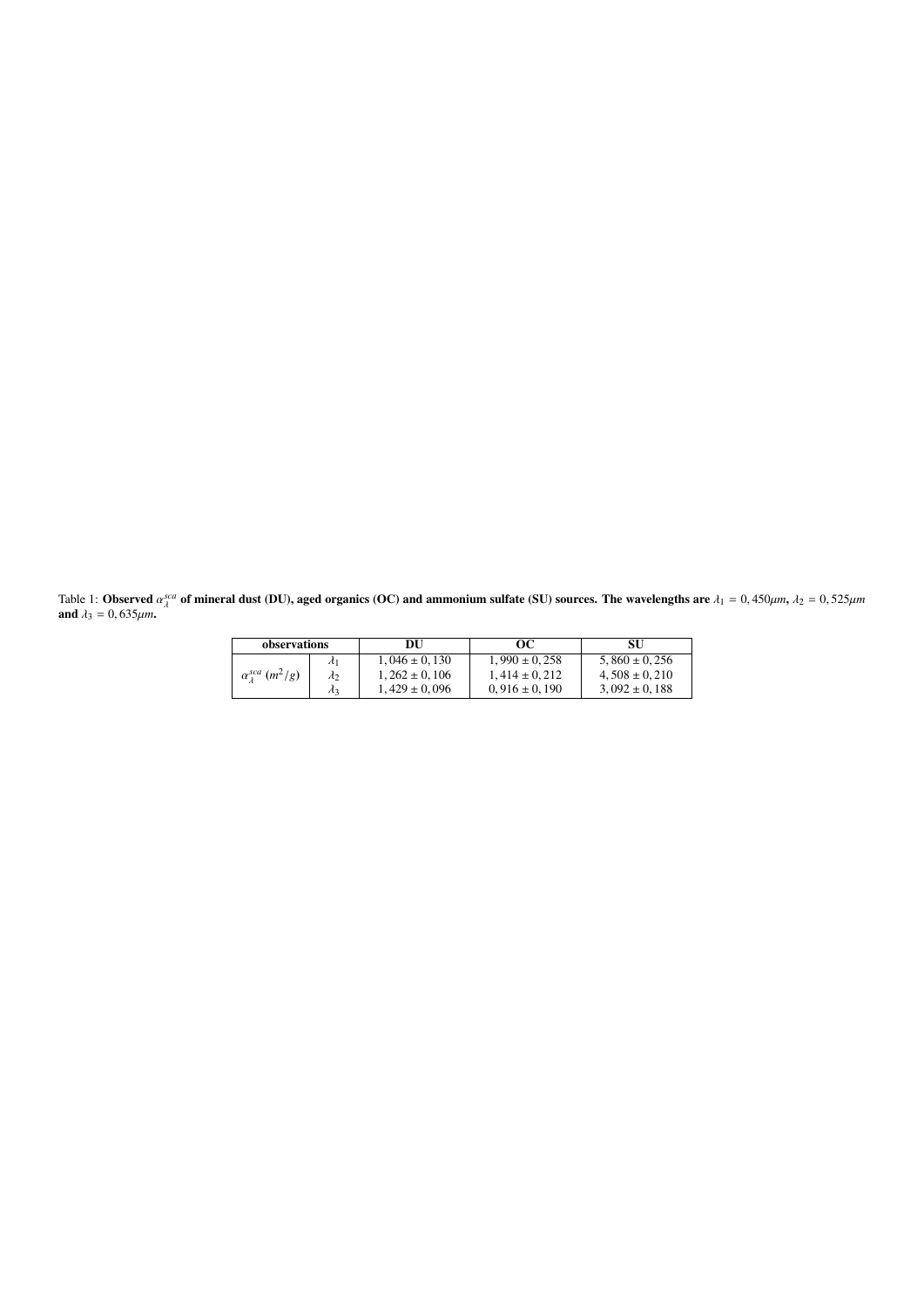<span id="page-11-0"></span>Table 1: **Observed**  $\alpha_{\lambda}^{sca}$ <br>and  $\lambda_2 = 0.635 \mu m$  $\lambda^{\text{sc}a}$  of mineral dust (DU), aged organics (OC) and ammonium sulfate (SU) sources. The wavelengths are  $\lambda_1 = 0,450 \mu m$ ,  $\lambda_2 = 0,525 \mu m$ **and**  $\lambda_3 = 0,635 \mu m$ .

| observations               |                 | DU                | OС                | SU                |  |
|----------------------------|-----------------|-------------------|-------------------|-------------------|--|
|                            | $\mathcal{A}_1$ | $1.046 \pm 0.130$ | $1.990 \pm 0.258$ | $5.860 \pm 0.256$ |  |
| $\alpha_1^{sca}$ $(m^2/g)$ | $\lambda_2$     | $1.262 \pm 0.106$ | $1.414 \pm 0.212$ | $4.508 \pm 0.210$ |  |
|                            | $\lambda_3$     | $1.429 \pm 0.096$ | $0,916 \pm 0,190$ | $3,092 \pm 0,188$ |  |
|                            |                 |                   |                   |                   |  |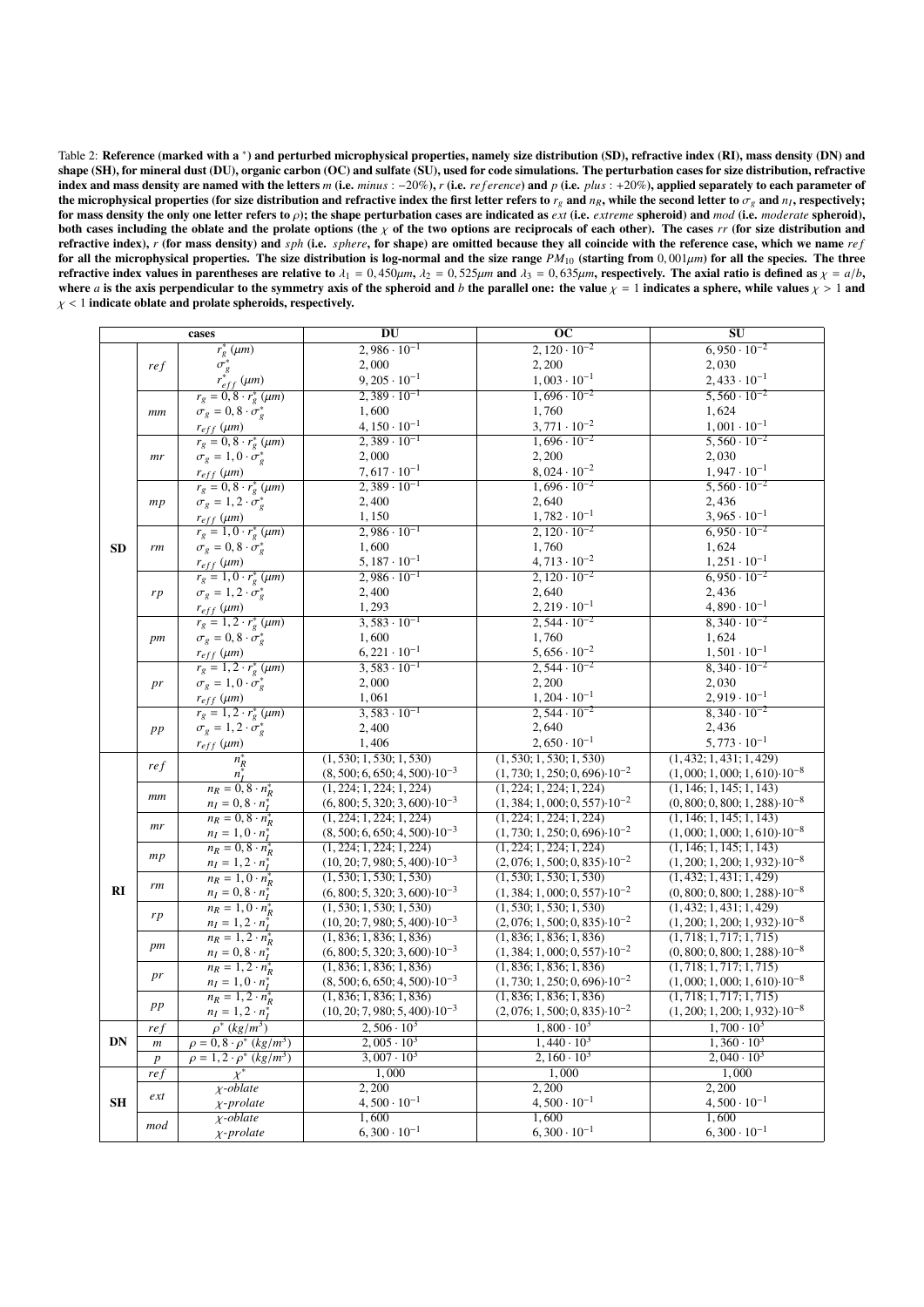<span id="page-12-0"></span>

| Table 2: Reference (marked with a *) and perturbed microphysical properties, namely size distribution (SD), refractive index (RI), mass density (DN) and                                                |
|---------------------------------------------------------------------------------------------------------------------------------------------------------------------------------------------------------|
| shape $(SH)$ , for mineral dust $(DU)$ , organic carbon $(OC)$ and sulfate $(SU)$ , used for code simulations. The perturbation cases for size distribution, refractive                                 |
| index and mass density are named with the letters m (i.e. $minus : -20\%$ ), r (i.e. $reference$ ) and p (i.e. plus : +20%), applied separately to each parameter of                                    |
| the microphysical properties (for size distribution and refractive index the first letter refers to $re$ and $nR$ , while the second letter to $\sigmae$ and $nI$ , respectively;                       |
| for mass density the only one letter refers to $\rho$ ); the shape perturbation cases are indicated as <i>ext</i> (i.e. <i>extreme</i> spheroid) and <i>mod</i> (i.e. <i>moderate</i> spheroid),        |
| both cases including the oblate and the prolate options (the $\chi$ of the two options are reciprocals of each other). The cases rr (for size distribution and                                          |
| refractive index), r (for mass density) and sph (i.e. sphere, for shape) are omitted because they all coincide with the reference case, which we name ref                                               |
| for all the microphysical properties. The size distribution is log-normal and the size range $PM_{10}$ (starting from 0,001 $\mu$ m) for all the species. The three                                     |
| refractive index values in parentheses are relative to $\lambda_1 = 0.450 \mu m$ , $\lambda_2 = 0.525 \mu m$ and $\lambda_3 = 0.635 \mu m$ , respectively. The axial ratio is defined as $\chi = a/b$ , |
| where a is the axis perpendicular to the symmetry axis of the spheroid and b the parallel one: the value $\chi = 1$ indicates a sphere, while values $\chi > 1$ and                                     |
| $\chi$ < 1 indicate oblate and prolate spheroids, respectively.                                                                                                                                         |
|                                                                                                                                                                                                         |

|           | cases                |                                                                                                     | DU                                       | $\overline{OC}$                          | $\overline{\bf SU}$                      |  |
|-----------|----------------------|-----------------------------------------------------------------------------------------------------|------------------------------------------|------------------------------------------|------------------------------------------|--|
|           |                      | $r_g^*(\mu m)$                                                                                      | $2,986 \cdot 10^{-1}$                    | $2,120 \cdot 10^{-2}$                    | $6,950 \cdot 10^{-2}$                    |  |
|           | ref                  |                                                                                                     | 2,000                                    | 2,200                                    | 2,030                                    |  |
|           |                      | $\sigma_g^*$<br>$r_{eff}^*$ (µm)                                                                    | $9,205 \cdot 10^{-1}$                    | $1,003 \cdot 10^{-1}$                    | $2,433 \cdot 10^{-1}$                    |  |
|           |                      | $r_g=0,8\cdot r_g^*\left(\mu m\right)$                                                              | $2,389 \cdot 10^{-1}$                    | $1,696 \cdot 10^{-2}$                    | $5,560 \cdot 10^{-2}$                    |  |
|           | $_{mm}$              | $\sigma_g = 0, 8 \cdot \sigma_g^*$                                                                  | 1,600                                    | 1,760                                    | 1,624                                    |  |
|           |                      | $r_{eff}\left(\mu m\right)$                                                                         | $4, 150 \cdot 10^{-1}$                   | $3,771 \cdot 10^{-2}$                    | $1,001 \cdot 10^{-1}$                    |  |
|           |                      |                                                                                                     | $2,389 \cdot 10^{-1}$                    | $1,696 \cdot 10^{-2}$                    | $5,560 \cdot 10^{-2}$                    |  |
|           |                      | $\begin{array}{l} r_g=0,8\cdot r_g^*\left(\mu m\right) \\ \sigma_g=1,0\cdot \sigma_g^* \end{array}$ | 2,000                                    | 2,200                                    | 2,030                                    |  |
|           | mr                   |                                                                                                     | $7,617 \cdot 10^{-1}$                    | $8,024 \cdot 10^{-2}$                    | $1,947 \cdot 10^{-1}$                    |  |
|           |                      | $r_{eff}\left(\mu m\right)$                                                                         | $2,389 \cdot 10^{-1}$                    | $1,696 \cdot 10^{-2}$                    | $\frac{5,560 \cdot 10^{-2}}{2}$          |  |
|           |                      | $r_g = 0, 8 \cdot r_g^* \ (\mu m)$                                                                  |                                          |                                          |                                          |  |
|           | mp                   | $\sigma_g = 1, 2 \cdot \sigma_g^*$                                                                  | 2,400                                    | 2,640                                    | 2,436                                    |  |
|           |                      | $r_{eff}$ ( $\mu$ m)                                                                                | 1,150                                    | $1,782 \cdot 10^{-1}$                    | $3,965 \cdot 10^{-1}$                    |  |
|           |                      | $r_g=1,0\cdot r_g^*\left(\mu m\right)$                                                              | $2,986 \cdot 10^{-1}$                    | $2,120 \cdot 10^{-2}$                    | $6,950 \cdot 10^{-2}$                    |  |
| <b>SD</b> | rm                   | $\sigma_g=0,8\cdot\sigma_g^*$                                                                       | 1,600                                    | 1,760                                    | 1,624                                    |  |
|           |                      | $r_{eff}\left(\mu m\right)$                                                                         | $5, 187 \cdot 10^{-1}$                   | $4,713 \cdot 10^{-2}$                    | $1,251 \cdot 10^{-1}$                    |  |
|           |                      | $r_g=1,0\cdot r_g^*\left(\mu m\right)$                                                              | $2,986 \cdot 10^{-1}$                    | $2,120 \cdot 10^{-2}$                    | $6,950 \cdot 10^{-2}$                    |  |
|           | rp                   | $\sigma_g = 1, 2 \cdot \sigma_g^*$                                                                  | 2,400                                    | 2,640                                    | 2,436                                    |  |
|           |                      | $r_{eff}$ ( $\mu$ m)                                                                                | 1,293                                    | $2,219 \cdot 10^{-1}$                    | $4,890 \cdot 10^{-1}$                    |  |
|           |                      | $r_g = 1, 2 \cdot r_g^* \ (\mu m)$                                                                  | $3,583 \cdot 10^{-1}$                    | $2,544 \cdot 10^{-2}$                    | $8,340 \cdot 10^{-2}$                    |  |
|           | pm                   | $\sigma_g = 0, 8 \cdot \sigma_g^*$                                                                  | 1,600                                    | 1,760                                    | 1,624                                    |  |
|           |                      | $r_{eff}$ ( $\mu$ m)                                                                                | $6,221 \cdot 10^{-1}$                    | $5,656 \cdot 10^{-2}$                    | $1,501 \cdot 10^{-1}$                    |  |
|           |                      | $r_g = 1, 2 \cdot r_g^* (\mu m)$                                                                    | $3,583 \cdot 10^{-1}$                    | $2,544 \cdot 10^{-2}$                    | $8,340 \cdot 10^{-2}$                    |  |
|           | pr                   | $\sigma_g = 1, 0 \cdot \sigma_g^*$                                                                  | 2,000                                    | 2,200                                    | 2,030                                    |  |
|           |                      |                                                                                                     | 1,061                                    | $1,204 \cdot 10^{-1}$                    | $2,919 \cdot 10^{-1}$                    |  |
|           |                      | $r_{eff}$ ( $\mu$ m)<br>$r_g = 1, 2 \cdot r_g^* \ (\mu m)$                                          | $3,583 \cdot 10^{-1}$                    | $2,544 \cdot 10^{-2}$                    | $8,340 \cdot 10^{-2}$                    |  |
|           |                      |                                                                                                     |                                          | 2,640                                    |                                          |  |
|           | $p\hspace{0.025cm}p$ | $\sigma_g = 1, 2 \cdot \sigma_g^*$                                                                  | 2,400                                    |                                          | 2,436                                    |  |
|           |                      | $r_{eff}$ ( $\mu$ m)                                                                                | 1,406                                    | $2,650 \cdot 10^{-1}$                    | $5,773 \cdot 10^{-1}$                    |  |
|           | ref                  | $n_R^*$                                                                                             | (1, 530; 1, 530; 1, 530)                 | (1, 530; 1, 530; 1, 530)                 | (1, 432; 1, 431; 1, 429)                 |  |
|           |                      | $n_I^*$                                                                                             | $(8, 500; 6, 650; 4, 500) \cdot 10^{-3}$ | $(1, 730; 1, 250; 0, 696) \cdot 10^{-2}$ | $(1,000; 1,000; 1,610) \cdot 10^{-8}$    |  |
|           | $\,mm$               | $n_R = 0, 8 \cdot n_R^*$                                                                            | (1, 224; 1, 224; 1, 224)                 | (1, 224; 1, 224; 1, 224)                 | (1, 146; 1, 145; 1, 143)                 |  |
|           |                      | $n_I = 0, 8 \cdot n_I^*$                                                                            | $(6, 800; 5, 320; 3, 600) \cdot 10^{-3}$ | $(1, 384; 1, 000; 0, 557) \cdot 10^{-2}$ | $(0, 800; 0, 800; 1, 288) \cdot 10^{-8}$ |  |
|           | mr                   | $n_R = 0, 8 \cdot n_R^*$                                                                            | (1, 224; 1, 224; 1, 224)                 | (1, 224; 1, 224; 1, 224)                 | (1, 146; 1, 145; 1, 143)                 |  |
|           |                      | $n_I = 1, 0 \cdot n_I^*$                                                                            | $(8, 500; 6, 650; 4, 500) \cdot 10^{-3}$ | $(1, 730; 1, 250; 0, 696) \cdot 10^{-2}$ | $(1,000; 1,000; 1,610) \cdot 10^{-8}$    |  |
|           | mp                   | $n_R = 0, 8 \cdot n_R^*$                                                                            | (1, 224; 1, 224; 1, 224)                 | (1, 224; 1, 224; 1, 224)                 | (1, 146; 1, 145; 1, 143)                 |  |
|           |                      | $n_I = 1, 2 \cdot n_I^*$                                                                            | $(10, 20; 7, 980; 5, 400) \cdot 10^{-3}$ | $(2,076; 1,500; 0,835) \cdot 10^{-2}$    | $(1, 200; 1, 200; 1, 932) \cdot 10^{-8}$ |  |
|           | rm                   | $n_R = 1, 0 \cdot n_R^*$                                                                            | (1, 530; 1, 530; 1, 530)                 | (1, 530; 1, 530; 1, 530)                 | (1, 432; 1, 431; 1, 429)                 |  |
| RI        |                      | $n_I = 0, 8 \cdot n_I^*$                                                                            | $(6, 800; 5, 320; 3, 600) \cdot 10^{-3}$ | $(1, 384; 1, 000; 0, 557) \cdot 10^{-2}$ | $(0, 800; 0, 800; 1, 288) \cdot 10^{-8}$ |  |
|           |                      | $n_R = 1, 0 \cdot n_R^*$                                                                            | (1, 530; 1, 530; 1, 530)                 | (1, 530; 1, 530; 1, 530)                 | (1, 432; 1, 431; 1, 429)                 |  |
|           | rp                   | $n_I = 1, 2 \cdot n_I^*$<br>$n_R = 1, 2 \cdot n_R^*$                                                | $(10, 20; 7, 980; 5, 400) \cdot 10^{-3}$ | $(2,076; 1,500; 0,835) \cdot 10^{-2}$    | $(1, 200; 1, 200; 1, 932) \cdot 10^{-8}$ |  |
|           |                      |                                                                                                     | (1, 836; 1, 836; 1, 836)                 | (1, 836; 1, 836; 1, 836)                 | (1, 718; 1, 717; 1, 715)                 |  |
|           | pm                   | $n_I = 0, 8 \cdot n_I^*$                                                                            | $(6, 800; 5, 320; 3, 600) \cdot 10^{-3}$ | $(1, 384; 1, 000; 0, 557) \cdot 10^{-2}$ | $(0, 800; 0, 800; 1, 288) \cdot 10^{-8}$ |  |
|           |                      | $n_R = 1, 2 \cdot n_R^*$                                                                            | (1, 836; 1, 836; 1, 836)                 | (1, 836; 1, 836; 1, 836)                 | (1, 718; 1, 717; 1, 715)                 |  |
|           | pr                   | $n_I = 1, 0 \cdot n_I^*$                                                                            | $(8, 500; 6, 650; 4, 500) \cdot 10^{-3}$ | $(1, 730; 1, 250; 0, 696) \cdot 10^{-2}$ | $(1,000; 1,000; 1,610) \cdot 10^{-8}$    |  |
|           |                      | $n_R = 1, 2 \cdot n_R^*$                                                                            | (1, 836; 1, 836; 1, 836)                 | (1, 836; 1, 836; 1, 836)                 | (1, 718; 1, 717; 1, 715)                 |  |
|           | $p\hspace{0.025cm}p$ | $n_I = 1, 2 \cdot n_I^*$                                                                            | $(10, 20; 7, 980; 5, 400) \cdot 10^{-3}$ | $(2,076; 1,500; 0,835) \cdot 10^{-2}$    | $(1, 200; 1, 200; 1, 932) \cdot 10^{-8}$ |  |
|           | ref                  | $\rho^*(kg/m^3)$                                                                                    | $2,506 \cdot 10^3$                       | $1,800 \cdot 10^3$                       | $1,700 \cdot 10^3$                       |  |
| DN        | $\,m$                | $\rho = 0, 8 \cdot \rho^* (kg/m^3)$                                                                 | $2,005 \cdot 10^3$                       | $1,440 \cdot 10^3$                       | $1,360 \cdot 10^3$                       |  |
|           | $\boldsymbol{p}$     | $\rho = 1, 2 \cdot \rho^* (kg/m^3)$                                                                 | $3,007 \cdot 10^3$                       | $2,160 \cdot 10^3$                       | $2,040 \cdot 10^{3}$                     |  |
| SH        | ref                  | $\chi^*$                                                                                            | 1,000                                    | 1,000                                    | 1,000                                    |  |
|           |                      | $\chi$ -oblate                                                                                      | 2,200                                    | 2,200                                    | 2,200                                    |  |
|           | ext                  | $\chi$ -prolate                                                                                     | $4,500 \cdot 10^{-1}$                    | $4,500 \cdot 10^{-1}$                    | $4,500 \cdot 10^{-1}$                    |  |
|           |                      | $\chi$ -oblate                                                                                      | 1,600                                    | 1,600                                    | 1,600                                    |  |
|           | mod                  |                                                                                                     | $6,300 \cdot 10^{-1}$                    | $6,300 \cdot 10^{-1}$                    | $6,300 \cdot 10^{-1}$                    |  |
|           |                      | $\chi$ -prolate                                                                                     |                                          |                                          |                                          |  |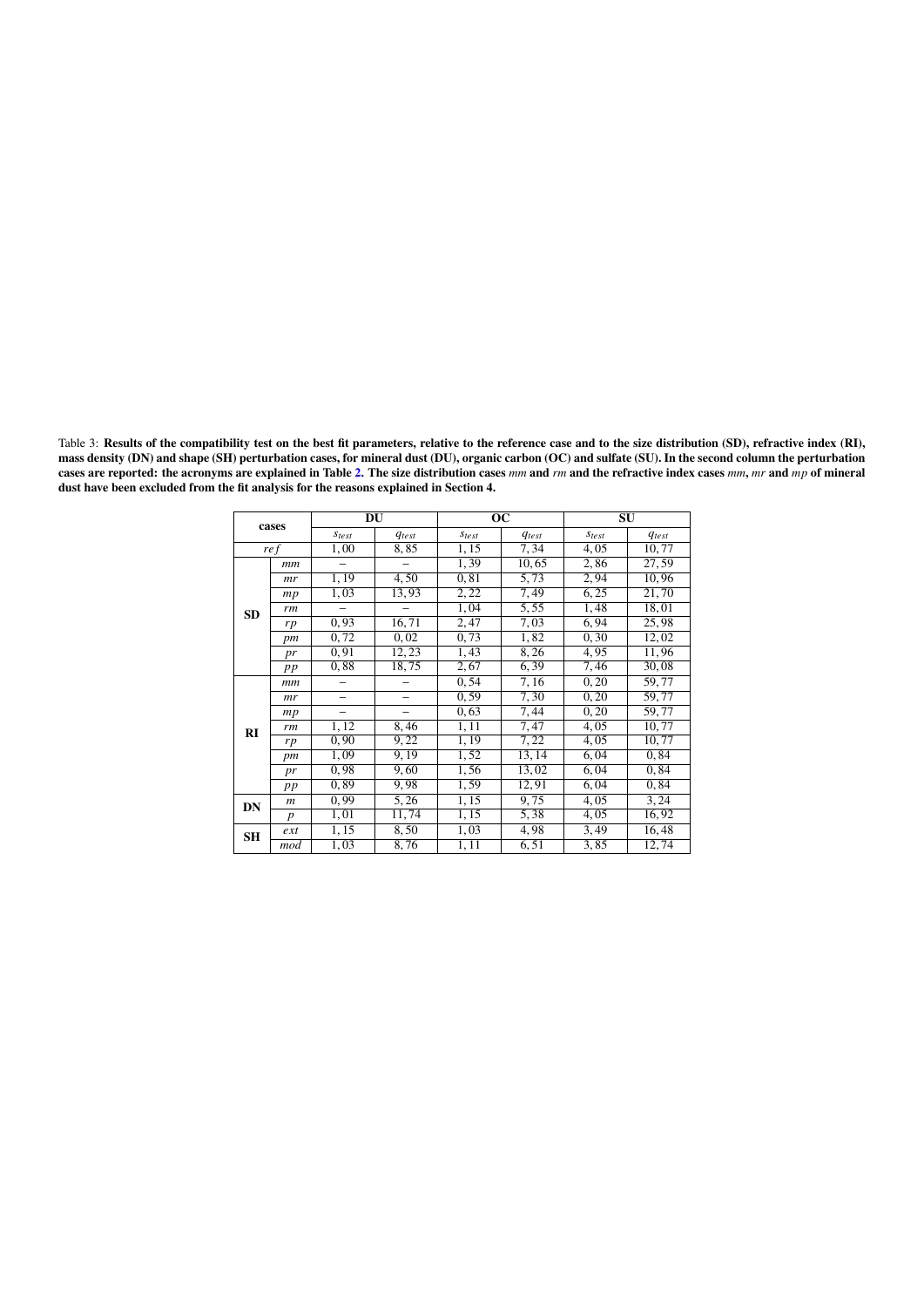<span id="page-13-0"></span>Table 3: Results of the compatibility test on the best fit parameters, relative to the reference case and to the size distribution (SD), refractive index (RI), mass density (DN) and shape (SH) perturbation cases, for mineral dust (DU), organic carbon (OC) and sulfate (SU). In the second column the perturbation cases are reported: the acronyms are explained in Table [2.](#page-12-0) The size distribution cases *mm* and *rm* and the refractive index cases *mm*, *mr* and *mp* of mineral dust have been excluded from the fit analysis for the reasons explained in Section 4.

| cases     |                  | DU                |            | $\overline{OC}$   |            | $\overline{\bf SU}$ |            |
|-----------|------------------|-------------------|------------|-------------------|------------|---------------------|------------|
|           |                  | $\sqrt{s_{test}}$ | $q_{test}$ | <b>Stest</b>      | $q_{test}$ | $S_{test}$          | $q_{test}$ |
| ref       |                  | 1,00              | 8,85       | 1, 15             | 7,34       | 4,05                | 10,77      |
|           | mm               |                   |            | 1,39              | 10,65      | 2,86                | 27,59      |
|           | mr               | 1,19              | 4,50       | 0.81              | 5,73       | 2,94                | 10,96      |
|           | mp               | 1,03              | 13,93      | 2, 22             | 7,49       | 6,25                | 21,70      |
| <b>SD</b> | rm               |                   |            | 1,04              | 5,55       | 1,48                | 18,01      |
|           | rp               | 0, 93             | 16, 71     | 2,47              | 7,03       | 6,94                | 25,98      |
|           | pm               | 0,72              | 0,02       | 0, 73             | 1,82       | 0, 30               | 12,02      |
|           | pr               | 0,91              | 12, 23     | 1,43              | 8,26       | 4,95                | 11,96      |
|           | pp               | 0,88              | 18,75      | 2,67              | 6,39       | 7,46                | 30,08      |
|           | mm               |                   |            | 0,54              | 7,16       | 0, 20               | 59,77      |
|           | mr               |                   |            | 0, 59             | 7,30       | 0, 20               | 59,77      |
|           | mp               |                   |            | 0,63              | 7,44       | 0, 20               | 59,77      |
| RI        | rm               | 1,12              | 8,46       | 1,11              | 7,47       | 4,05                | 10,77      |
|           | rp               | 0, 90             | 9,22       | 1,19              | 7,22       | 4,05                | 10, 77     |
|           | pm               | 1,09              | 9,19       | $\overline{1,52}$ | 13, 14     | 6,04                | 0.84       |
|           | pr               | 0,98              | 9,60       | 1,56              | 13,02      | 6,04                | 0,84       |
|           | pp               | 0.89              | 9,98       | 1,59              | 12,91      | 6,04                | 0.84       |
| DN        | $\boldsymbol{m}$ | 0.99              | 5,26       | 1,15              | 9,75       | 4,05                | 3, 24      |
|           | $\boldsymbol{p}$ | 1,01              | 11,74      | 1, 15             | 5,38       | 4,05                | 16,92      |
| <b>SH</b> | ext              | 1,15              | 8,50       | 1,03              | 4,98       | 3,49                | 16,48      |
|           | mod              | 1,03              | 8,76       | 1, 11             | 6.51       | 3,85                | 12,74      |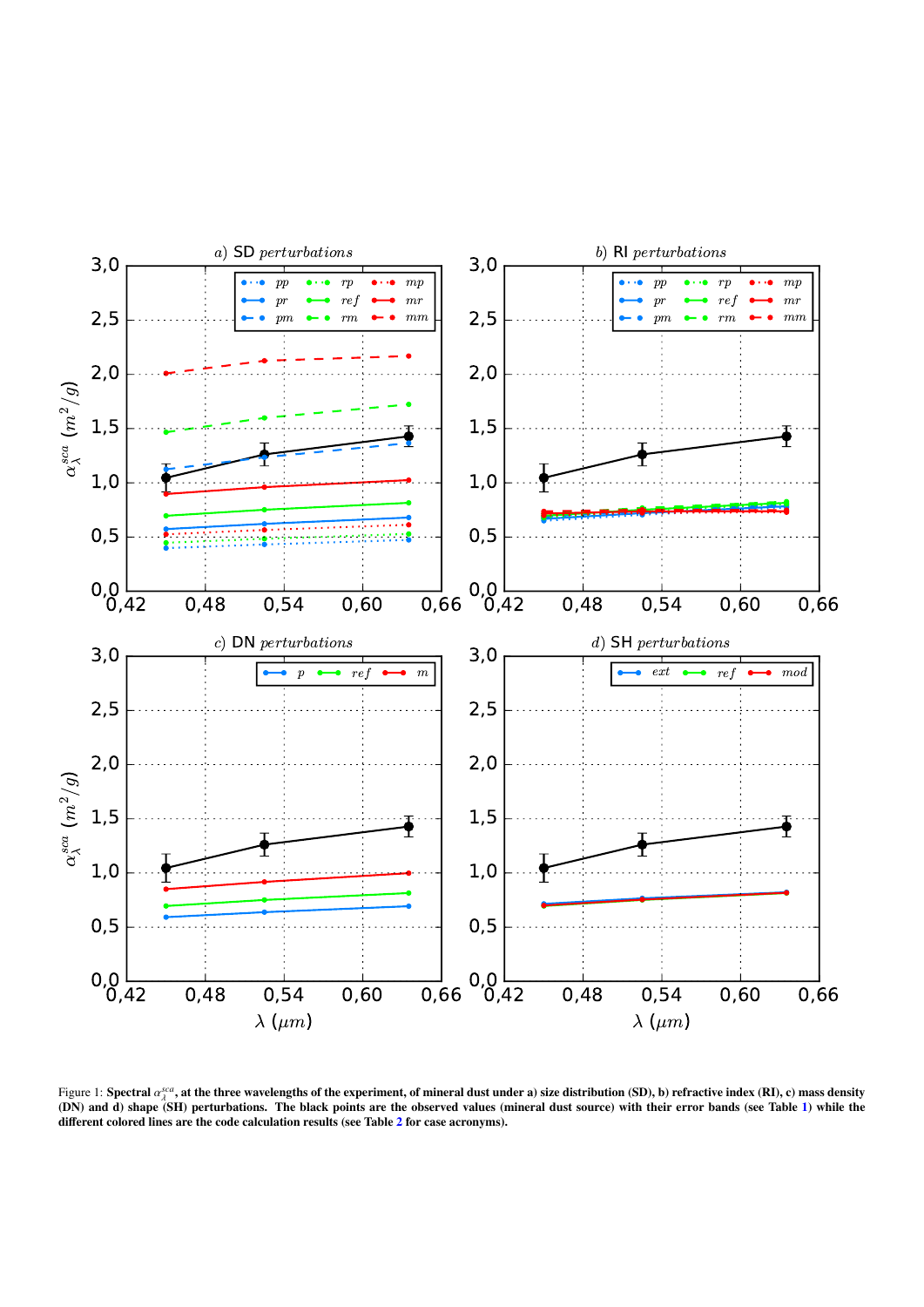<span id="page-14-0"></span>

Figure 1: Spectral α<sup>*sca*</sup>, at the three wavelengths of the experiment, of mineral dust under a) size distribution (SD), b) refractive index (RI), c) mass density<br>(DN) and d) shane (SH) perturbations. The black points ar (DN) and d) shape (SH) perturbations. The black points are the observed values (mineral dust source) with their error bands (see Table [1\)](#page-11-0) while the different colored lines are the code calculation results (see Table [2](#page-12-0) for case acronyms).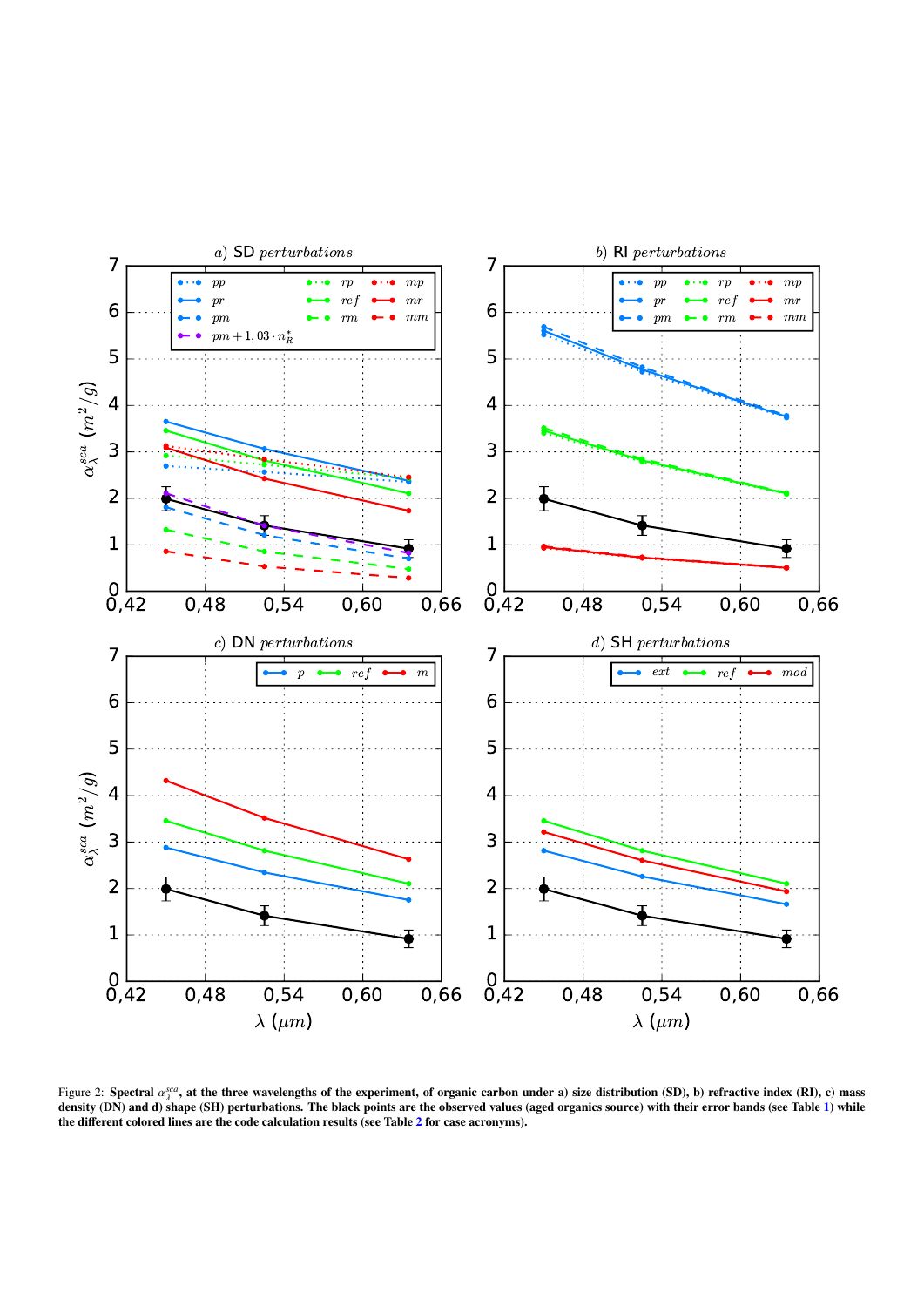<span id="page-15-0"></span>

Figure 2: Spectral  $\alpha_s^{sea}$ , at the three wavelengths of the experiment, of organic carbon under a) size distribution (SD), b) refractive index (RI), c) mass<br>density (DN) and d) shape (SH) perturbations. The black points density (DN) and d) shape (SH) perturbations. The black points are the observed values (aged organics source) with their error bands (see Table [1\)](#page-11-0) while the different colored lines are the code calculation results (see Table [2](#page-12-0) for case acronyms).